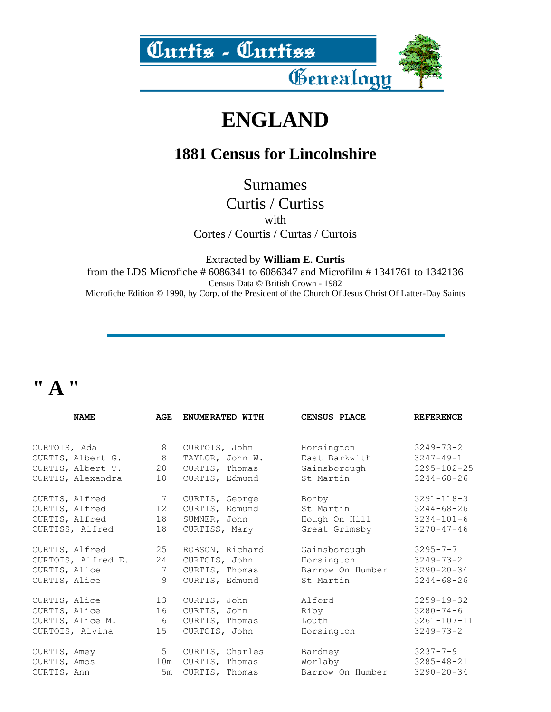

### **ENGLAND**

#### **1881 Census for Lincolnshire**

Surnames

Curtis / Curtiss with Cortes / Courtis / Curtas / Curtois

Extracted by **William E. Curtis**

from the LDS Microfiche # 6086341 to 6086347 and Microfilm # 1341761 to 1342136 Census Data © British Crown - 1982 Microfiche Edition © 1990, by Corp. of the President of the Church Of Jesus Christ Of Latter-Day Saints

### **" A "**

| <b>NAME</b>        | AGE            | ENUMERATED WITH | <b>CENSUS PLACE</b> | <b>REFERENCE</b>  |
|--------------------|----------------|-----------------|---------------------|-------------------|
|                    |                |                 |                     |                   |
| CURTOIS, Ada       | 8              | CURTOIS, John   | Horsington          | $3249 - 73 - 2$   |
| CURTIS, Albert G.  | 8              | TAYLOR, John W. | East Barkwith       | $3247 - 49 - 1$   |
| CURTIS, Albert T.  | 28             | CURTIS, Thomas  | Gainsborough        | $3295 - 102 - 25$ |
| CURTIS, Alexandra  | 18             | CURTIS, Edmund  | St Martin           | $3244 - 68 - 26$  |
| CURTIS, Alfred     | 7              | CURTIS, George  | Bonby               | $3291 - 118 - 3$  |
| CURTIS, Alfred     | 12             | CURTIS, Edmund  | St Martin           | $3244 - 68 - 26$  |
| CURTIS, Alfred     | 18             | SUMNER, John    | Hough On Hill       | $3234 - 101 - 6$  |
| CURTISS, Alfred    | 18             | CURTISS, Mary   | Great Grimsby       | $3270 - 47 - 46$  |
| CURTIS, Alfred     | 25             | ROBSON, Richard | Gainsborough        | $3295 - 7 - 7$    |
| CURTOIS, Alfred E. | 24             | CURTOIS, John   | Horsington          | $3249 - 73 - 2$   |
| CURTIS, Alice      | 7              | CURTIS, Thomas  | Barrow On Humber    | $3290 - 20 - 34$  |
| CURTIS, Alice      | 9              | CURTIS, Edmund  | St Martin           | $3244 - 68 - 26$  |
| CURTIS, Alice      | 13             | CURTIS, John    | Alford              | $3259 - 19 - 32$  |
| CURTIS, Alice      | 16             | CURTIS, John    | Riby                | $3280 - 74 - 6$   |
| CURTIS, Alice M.   | 6              | CURTIS, Thomas  | Louth               | $3261 - 107 - 11$ |
| CURTOIS, Alvina    | 15             | CURTOIS, John   | Horsington          | $3249 - 73 - 2$   |
| CURTIS, Amey       | 5 <sup>5</sup> | CURTIS, Charles | Bardney             | $3237 - 7 - 9$    |
| CURTIS, Amos       | 10m            | CURTIS, Thomas  | Worlaby             | $3285 - 48 - 21$  |
| CURTIS, Ann        | 5m             | CURTIS, Thomas  | Barrow On Humber    | $3290 - 20 - 34$  |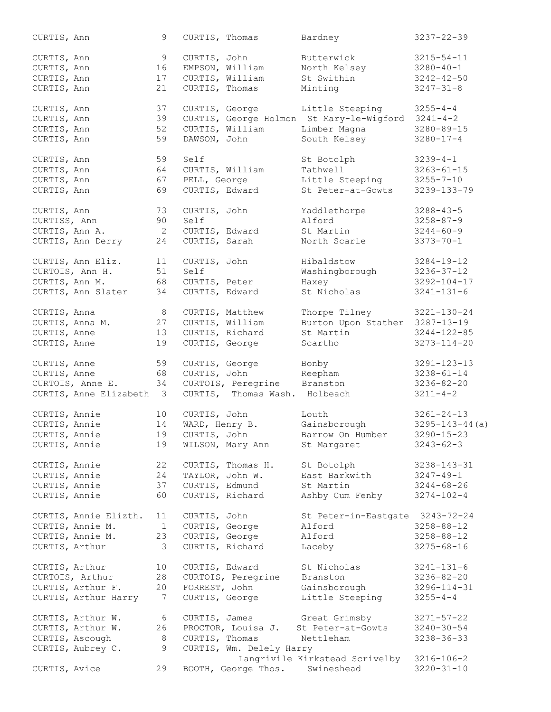| CURTIS, Ann     |                          | 9               | CURTIS, Thomas  |                                | Bardney                                  | $3237 - 22 - 39$     |
|-----------------|--------------------------|-----------------|-----------------|--------------------------------|------------------------------------------|----------------------|
| CURTIS, Ann     |                          | 9               | CURTIS, John    |                                | Butterwick                               | $3215 - 54 - 11$     |
| CURTIS, Ann     |                          | 16              |                 | EMPSON, William                | North Kelsey                             | $3280 - 40 - 1$      |
| CURTIS, Ann     |                          | 17              |                 | CURTIS, William                | St Swithin                               | $3242 - 42 - 50$     |
|                 |                          |                 |                 |                                |                                          |                      |
| CURTIS, Ann     |                          | 21              | CURTIS, Thomas  |                                | Minting                                  | $3247 - 31 - 8$      |
| CURTIS, Ann     |                          | 37              | CURTIS, George  |                                | Little Steeping                          | $3255 - 4 - 4$       |
| CURTIS, Ann     |                          | 39              |                 |                                | CURTIS, George Holmon St Mary-le-Wigford | $3241 - 4 - 2$       |
| CURTIS, Ann     |                          | 52              |                 | CURTIS, William                | Limber Magna                             | $3280 - 89 - 15$     |
| CURTIS, Ann     |                          | 59              | DAWSON, John    |                                | South Kelsey                             | $3280 - 17 - 4$      |
|                 |                          |                 |                 |                                |                                          |                      |
| CURTIS, Ann     |                          | 59              | Self            |                                | St Botolph                               | $3239 - 4 - 1$       |
| CURTIS, Ann     |                          | 64              |                 | CURTIS, William                | Tathwell                                 | $3263 - 61 - 15$     |
| CURTIS, Ann     |                          | 67              | PELL, George    |                                | Little Steeping                          | $3255 - 7 - 10$      |
| CURTIS, Ann     |                          | 69              | CURTIS, Edward  |                                | St Peter-at-Gowts                        | 3239-133-79          |
|                 |                          |                 |                 |                                |                                          |                      |
| CURTIS, Ann     |                          | 73              | CURTIS, John    |                                | Yaddlethorpe                             | $3288 - 43 - 5$      |
| CURTISS, Ann    |                          | 90              | Self            |                                | Alford                                   | $3258 - 87 - 9$      |
| CURTIS, Ann A.  |                          | 2               | CURTIS, Edward  |                                | St Martin                                | $3244 - 60 - 9$      |
|                 | CURTIS, Ann Derry        | 24              | CURTIS, Sarah   |                                | North Scarle                             | $3373 - 70 - 1$      |
|                 |                          |                 |                 |                                |                                          |                      |
|                 | CURTIS, Ann Eliz.        | 11              | CURTIS, John    |                                | Hibaldstow                               | $3284 - 19 - 12$     |
| CURTOIS, Ann H. |                          | 51              | Self            |                                | Washingborough                           | $3236 - 37 - 12$     |
| CURTIS, Ann M.  |                          | 68              | CURTIS, Peter   |                                | Haxey                                    | $3292 - 104 - 17$    |
|                 | CURTIS, Ann Slater       | 34              | CURTIS, Edward  |                                | St Nicholas                              | $3241 - 131 - 6$     |
|                 |                          |                 |                 |                                |                                          |                      |
| CURTIS, Anna    |                          | 8               |                 | CURTIS, Matthew                | Thorpe Tilney                            | $3221 - 130 - 24$    |
| CURTIS, Anna M. |                          | 27              |                 | CURTIS, William                | Burton Upon Stather 3287-13-19           |                      |
| CURTIS, Anne    |                          | 13              |                 | CURTIS, Richard                | St Martin                                | $3244 - 122 - 85$    |
| CURTIS, Anne    |                          | 19              | CURTIS, George  |                                | Scartho                                  | $3273 - 114 - 20$    |
|                 |                          |                 |                 |                                |                                          |                      |
| CURTIS, Anne    |                          | 59              |                 | CURTIS, George                 | Bonby                                    | $3291 - 123 - 13$    |
| CURTIS, Anne    |                          | 68              |                 | CURTIS, John                   | Reepham                                  | $3238 - 61 - 14$     |
|                 | CURTOIS, Anne E.         | 34              |                 | CURTOIS, Peregrine             | Branston                                 | $3236 - 82 - 20$     |
|                 | CURTIS, Anne Elizabeth 3 |                 |                 | CURTIS, Thomas Wash. Holbeach  |                                          | $3211 - 4 - 2$       |
|                 |                          |                 |                 |                                |                                          |                      |
| CURTIS, Annie   |                          | 10 <sup>°</sup> | CURTIS, John    |                                | Louth                                    | $3261 - 24 - 13$     |
| CURTIS, Annie   |                          | 14              | WARD, Henry B.  |                                | Gainsborough                             | $3295 - 143 - 44(a)$ |
| CURTIS, Annie   |                          |                 | 19 CURTIS, John |                                | Barrow On Humber                         | $3290 - 15 - 23$     |
| CURTIS, Annie   |                          | 19              |                 | WILSON, Mary Ann               | St Margaret                              | $3243 - 62 - 3$      |
|                 |                          |                 |                 |                                |                                          |                      |
| CURTIS, Annie   |                          | 22              |                 | CURTIS, Thomas H.              | St Botolph                               | $3238 - 143 - 31$    |
| CURTIS, Annie   |                          | 24              |                 | TAYLOR, John W.                | East Barkwith                            | $3247 - 49 - 1$      |
| CURTIS, Annie   |                          | 37              |                 | CURTIS, Edmund                 | St Martin                                | $3244 - 68 - 26$     |
| CURTIS, Annie   |                          | 60              |                 | CURTIS, Richard                | Ashby Cum Fenby 3274-102-4               |                      |
|                 |                          |                 |                 |                                |                                          |                      |
|                 | CURTIS, Annie Elizth.    | 11              | CURTIS, John    |                                | St Peter-in-Eastgate 3243-72-24          |                      |
|                 | CURTIS, Annie M.         | $\sqrt{1}$      | CURTIS, George  |                                | Alford                                   | $3258 - 88 - 12$     |
|                 | CURTIS, Annie M.         | 23              | CURTIS, George  |                                | Alford                                   | $3258 - 88 - 12$     |
| CURTIS, Arthur  |                          | - 3             |                 | CURTIS, Richard                | Laceby                                   | $3275 - 68 - 16$     |
|                 |                          |                 |                 |                                |                                          |                      |
| CURTIS, Arthur  |                          | 10              | CURTIS, Edward  |                                | St Nicholas                              | $3241 - 131 - 6$     |
|                 | CURTOIS, Arthur          | 28              |                 | CURTOIS, Peregrine             | Branston                                 | 3236-82-20           |
|                 | CURTIS, Arthur F.        | 20              |                 | FORREST, John                  | Gainsborough                             | 3296-114-31          |
|                 | CURTIS, Arthur Harry     | $\overline{7}$  |                 | CURTIS, George                 | Little Steeping                          | $3255 - 4 - 4$       |
|                 |                          |                 |                 |                                |                                          |                      |
|                 | CURTIS, Arthur W.        | 6               |                 |                                | CURTIS, James Great Grimsby              | $3271 - 57 - 22$     |
|                 | CURTIS, Arthur W.        | 26              |                 |                                | PROCTOR, Louisa J. St Peter-at-Gowts     | $3240 - 30 - 54$     |
|                 | CURTIS, Ascough          | 8               |                 |                                | CURTIS, Thomas Nettleham                 | $3238 - 36 - 33$     |
|                 | CURTIS, Aubrey C.        | 9               |                 | CURTIS, Wm. Delely Harry       |                                          |                      |
|                 |                          |                 |                 |                                | Langrivile Kirkstead Scrivelby           | $3216 - 106 - 2$     |
| CURTIS, Avice   |                          | 29              |                 | BOOTH, George Thos. Swineshead |                                          | $3220 - 31 - 10$     |
|                 |                          |                 |                 |                                |                                          |                      |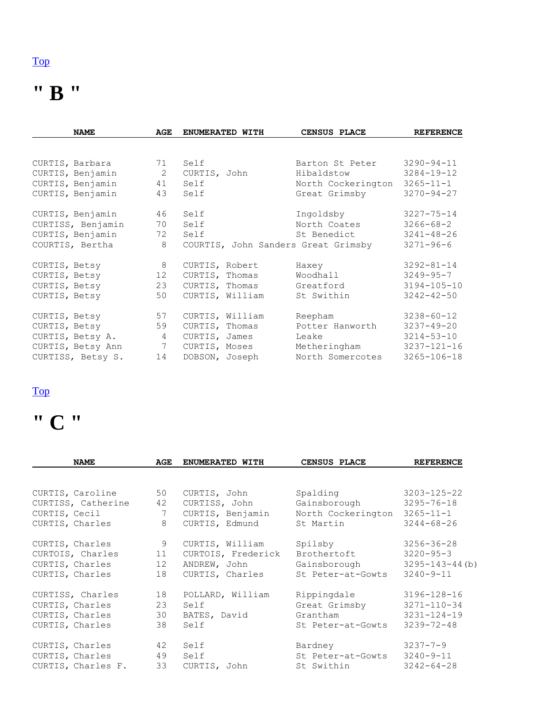### **" B "**

| <b>NAME</b>       | AGE             | ENUMERATED WITH | CENSUS PLACE                        | <b>REFERENCE</b>  |
|-------------------|-----------------|-----------------|-------------------------------------|-------------------|
|                   |                 |                 |                                     |                   |
| CURTIS, Barbara   | 71              | Self            | Barton St Peter                     | $3290 - 94 - 11$  |
| CURTIS, Benjamin  | $\overline{2}$  | CURTIS, John    | Hibaldstow                          | $3284 - 19 - 12$  |
| CURTIS, Benjamin  | 41              | Self            | North Cockerington                  | $3265 - 11 - 1$   |
| CURTIS, Benjamin  | 43              | Self            | Great Grimsby                       | $3270 - 94 - 27$  |
| CURTIS, Benjamin  | 46              | Self            | Ingoldsby                           | $3227 - 75 - 14$  |
| CURTISS, Benjamin | 70              | Self            | North Coates                        | $3266 - 68 - 2$   |
| CURTIS, Benjamin  | 72              | Self            | St Benedict                         | $3241 - 48 - 26$  |
| COURTIS, Bertha   | 8               |                 | COURTIS, John Sanders Great Grimsby | $3271 - 96 - 6$   |
| CURTIS, Betsy     | 8               | CURTIS, Robert  | Haxey                               | $3292 - 81 - 14$  |
| CURTIS, Betsy     | 12 <sup>°</sup> | CURTIS, Thomas  | Woodhall                            | $3249 - 95 - 7$   |
| CURTIS, Betsy     | 23              | CURTIS, Thomas  | Greatford                           | $3194 - 105 - 10$ |
| CURTIS, Betsy     | 50              | CURTIS, William | St Swithin                          | $3242 - 42 - 50$  |
| CURTIS, Betsy     | 57              | CURTIS, William | Reepham                             | $3238 - 60 - 12$  |
| CURTIS, Betsy     | 59              | CURTIS, Thomas  | Potter Hanworth                     | $3237 - 49 - 20$  |
| CURTIS, Betsy A.  | 4               | CURTIS, James   | Leake                               | $3214 - 53 - 10$  |
| CURTIS, Betsy Ann | $7\phantom{0}$  | CURTIS, Moses   | Metheringham                        | $3237 - 121 - 16$ |
| CURTISS, Betsy S. | 14              | DOBSON, Joseph  | North Somercotes                    | $3265 - 106 - 18$ |

#### [Top](http://www.curtis-curtiss.com/pub/archives/extractions/england/lincoln/1881_census/lin_curtis_idx.html#top)

## **" C "**

| <b>NAME</b>        | AGE | ENUMERATED WITH    | CENSUS PLACE       | <b>REFERENCE</b>      |
|--------------------|-----|--------------------|--------------------|-----------------------|
|                    |     |                    |                    |                       |
| CURTIS, Caroline   | 50  | CURTIS, John       | Spalding           | $3203 - 125 - 22$     |
| CURTISS, Catherine | 42  | CURTISS, John      | Gainsborough       | $3295 - 76 - 18$      |
| CURTIS, Cecil      | 7   | CURTIS, Benjamin   | North Cockerington | $3265 - 11 - 1$       |
| CURTIS, Charles    | 8   | CURTIS, Edmund     | St Martin          | $3244 - 68 - 26$      |
| CURTIS, Charles    | 9   | CURTIS, William    | Spilsby            | $3256 - 36 - 28$      |
| CURTOIS, Charles   | 11  | CURTOIS, Frederick | Brothertoft        | $3220 - 95 - 3$       |
| CURTIS, Charles    | 12  | ANDREW, John       | Gainsborough       | $3295 - 143 - 44$ (b) |
| CURTIS, Charles    | 18  | CURTIS, Charles    | St Peter-at-Gowts  | $3240 - 9 - 11$       |
| CURTISS, Charles   | 18  | POLLARD, William   | Rippingdale        | 3196-128-16           |
| CURTIS, Charles    | 23  | Self               | Great Grimsby      | 3271-110-34           |
| CURTIS, Charles    | 30  | BATES, David       | Grantham           | $3231 - 124 - 19$     |
| CURTIS, Charles    | 38  | Self               | St Peter-at-Gowts  | $3239 - 72 - 48$      |
|                    |     |                    |                    |                       |
| CURTIS, Charles    | 42  | Self               | Bardney            | $3237 - 7 - 9$        |
| CURTIS, Charles    | 49  | Self               | St Peter-at-Gowts  | $3240 - 9 - 11$       |
| CURTIS, Charles F. | 33  | CURTIS, John       | St Swithin         | $3242 - 64 - 28$      |
|                    |     |                    |                    |                       |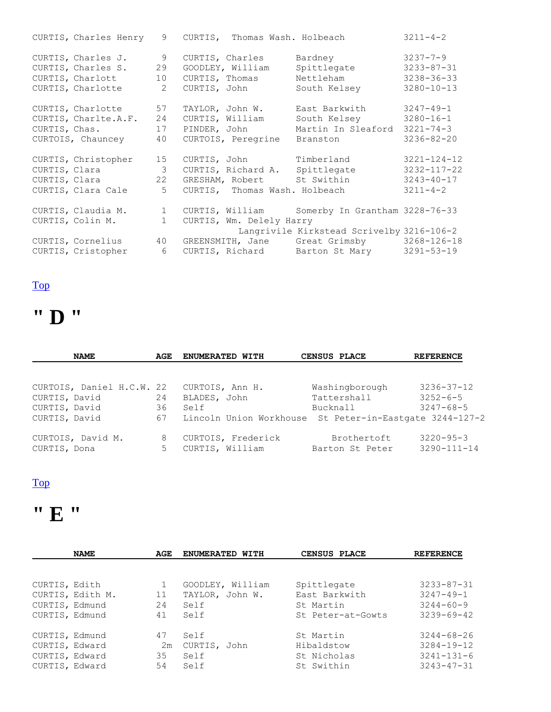|                         |    |                          | CURTIS, Charles Henry 9 CURTIS, Thomas Wash. Holbeach           | $3211 - 4 - 2$    |
|-------------------------|----|--------------------------|-----------------------------------------------------------------|-------------------|
| CURTIS, Charles J.      | 9  | CURTIS, Charles          | Bardney                                                         | $3237 - 7 - 9$    |
| CURTIS, Charles S.      | 29 | GOODLEY, William         | Spittlegate                                                     | $3233 - 87 - 31$  |
| CURTIS, Charlott 10     |    | CURTIS, Thomas           | Nettleham                                                       | $3238 - 36 - 33$  |
| CURTIS, Charlotte 2     |    | CURTIS, John             | South Kelsey                                                    | $3280 - 10 - 13$  |
| CURTIS, Charlotte 57    |    | TAYLOR, John W.          | East Barkwith 3247-49-1                                         |                   |
| CURTIS, Charlte.A.F. 24 |    |                          | CURTIS, William South Kelsey 3280-16-1                          |                   |
| CURTIS, Chas. 17        |    | PINDER, John             | Martin In Sleaford 3221-74-3                                    |                   |
| CURTOIS, Chauncey 40    |    | CURTOIS, Peregrine       | Branston                                                        | $3236 - 82 - 20$  |
| CURTIS, Christopher 15  |    |                          | CURTIS, John Timberland                                         | $3221 - 124 - 12$ |
| CURTIS, Clara 3         |    |                          | CURTIS, Richard A. Spittlegate                                  | 3232-117-22       |
| CURTIS, Clara 22        |    |                          | GRESHAM, Robert St Swithin 3243-40-17                           |                   |
| CURTIS, Clara Cale      | 5  |                          | CURTIS, Thomas Wash. Holbeach                                   | $3211 - 4 - 2$    |
| CURTIS, Claudia M. 1    |    |                          | CURTIS, William Somerby In Grantham 3228-76-33                  |                   |
| CURTIS, Colin M.        | 1  | CURTIS, Wm. Delely Harry |                                                                 |                   |
|                         |    |                          | Langrivile Kirkstead Scrivelby 3216-106-2                       |                   |
|                         |    |                          | CURTIS, Cornelius 40 GREENSMITH, Jane Great Grimsby 3268-126-18 |                   |
| CURTIS, Cristopher 6    |    |                          | CURTIS, Richard Barton St Mary 3291-53-19                       |                   |

### **" D "**

| <b>NAME</b>               | AGE | ENUMERATED WITH                                         | CENSUS PLACE    | <b>REFERENCE</b>  |
|---------------------------|-----|---------------------------------------------------------|-----------------|-------------------|
|                           |     |                                                         |                 |                   |
| CURTOIS, Daniel H.C.W. 22 |     | CURTOIS, Ann H.                                         | Washingborough  | $3236 - 37 - 12$  |
| CURTIS, David             | 24  | BLADES, John                                            | Tattershall     | $3252 - 6 - 5$    |
| CURTIS, David             | 36  | Self                                                    | Bucknall        | $3247 - 68 - 5$   |
| CURTIS, David             | 67  | Lincoln Union Workhouse St Peter-in-Eastgate 3244-127-2 |                 |                   |
| CURTOIS, David M.         | 8   | CURTOIS, Frederick                                      | Brothertoft     | $3220 - 95 - 3$   |
| CURTIS, Dona              | 5   | CURTIS, William                                         | Barton St Peter | $3290 - 111 - 14$ |

#### [Top](http://www.curtis-curtiss.com/pub/archives/extractions/england/lincoln/1881_census/lin_curtis_idx.html#top)

## **" E "**

|                | <b>NAME</b>      | AGE | ENUMERATED WITH  | CENSUS PLACE      | <b>REFERENCE</b> |
|----------------|------------------|-----|------------------|-------------------|------------------|
|                |                  |     |                  |                   |                  |
| CURTIS, Edith  |                  | 1   | GOODLEY, William | Spittlegate       | $3233 - 87 - 31$ |
|                | CURTIS, Edith M. | 11  | TAYLOR, John W.  | East Barkwith     | $3247 - 49 - 1$  |
| CURTIS, Edmund |                  | 24  | Self             | St Martin         | $3244 - 60 - 9$  |
| CURTIS, Edmund |                  | 41  | Self             | St Peter-at-Gowts | $3239 - 69 - 42$ |
| CURTIS, Edmund |                  | 47  | Self             | St Martin         | $3244 - 68 - 26$ |
| CURTIS, Edward |                  | 2m  | CURTIS, John     | Hibaldstow        | $3284 - 19 - 12$ |
| CURTIS, Edward |                  | 35  | Self             | St Nicholas       | $3241 - 131 - 6$ |
| CURTIS, Edward |                  | 54  | Self             | St Swithin        | $3243 - 47 - 31$ |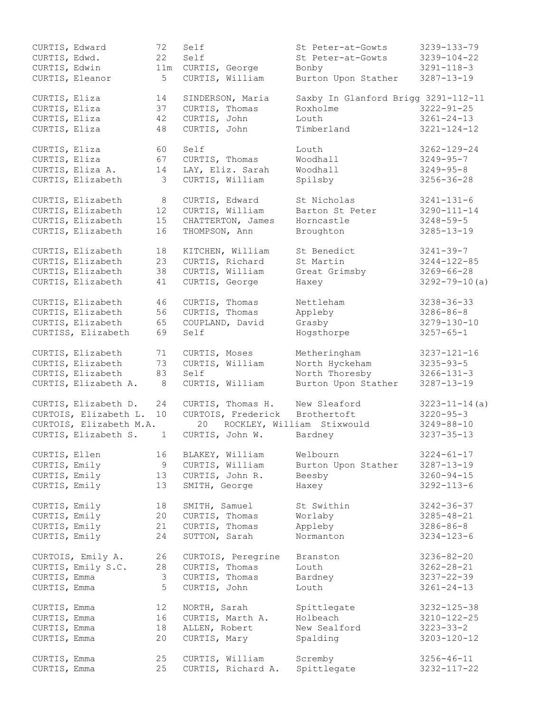| CURTIS, Edward |                         | 72           | Self               | St Peter-at-Gowts                   | 3239-133-79          |
|----------------|-------------------------|--------------|--------------------|-------------------------------------|----------------------|
| CURTIS, Edwd.  |                         | 22           | Self               | St Peter-at-Gowts                   | $3239 - 104 - 22$    |
| CURTIS, Edwin  |                         | 11m          | CURTIS, George     | Bonby                               | $3291 - 118 - 3$     |
|                | CURTIS, Eleanor         | 5            | CURTIS, William    | Burton Upon Stather                 | $3287 - 13 - 19$     |
|                |                         |              |                    |                                     |                      |
| CURTIS, Eliza  |                         | 14           | SINDERSON, Maria   | Saxby In Glanford Brigg 3291-112-11 |                      |
| CURTIS, Eliza  |                         | 37           | CURTIS, Thomas     | Roxholme                            | $3222 - 91 - 25$     |
| CURTIS, Eliza  |                         | 42           | CURTIS, John       | Louth                               | $3261 - 24 - 13$     |
| CURTIS, Eliza  |                         | 48           | CURTIS, John       | Timberland                          | $3221 - 124 - 12$    |
|                |                         |              |                    |                                     |                      |
| CURTIS, Eliza  |                         | 60           | Self               | Louth                               | $3262 - 129 - 24$    |
| CURTIS, Eliza  |                         | 67           | CURTIS, Thomas     | Woodhall                            | $3249 - 95 - 7$      |
|                | CURTIS, Eliza A.        | 14           | LAY, Eliz. Sarah   | Woodhall                            | $3249 - 95 - 8$      |
|                | CURTIS, Elizabeth       | 3            | CURTIS, William    | Spilsby                             | $3256 - 36 - 28$     |
|                |                         |              |                    |                                     |                      |
|                | CURTIS, Elizabeth       | 8            | CURTIS, Edward     | St Nicholas                         | $3241 - 131 - 6$     |
|                |                         | 12           |                    | Barton St Peter                     |                      |
|                | CURTIS, Elizabeth       |              | CURTIS, William    |                                     | $3290 - 111 - 14$    |
|                | CURTIS, Elizabeth       | 15           | CHATTERTON, James  | Horncastle                          | $3248 - 59 - 5$      |
|                | CURTIS, Elizabeth       | 16           | THOMPSON, Ann      | Broughton                           | $3285 - 13 - 19$     |
|                |                         |              |                    |                                     |                      |
|                | CURTIS, Elizabeth       | 18           | KITCHEN, William   | St Benedict                         | $3241 - 39 - 7$      |
|                | CURTIS, Elizabeth       | 23           | CURTIS, Richard    | St Martin                           | $3244 - 122 - 85$    |
|                | CURTIS, Elizabeth       | 38           | CURTIS, William    | Great Grimsby                       | $3269 - 66 - 28$     |
|                | CURTIS, Elizabeth       | 41           | CURTIS, George     | Haxey                               | $3292 - 79 - 10(a)$  |
|                |                         |              |                    |                                     |                      |
|                | CURTIS, Elizabeth       | 46           | CURTIS, Thomas     | Nettleham                           | $3238 - 36 - 33$     |
|                | CURTIS, Elizabeth       | 56           | CURTIS, Thomas     | Appleby                             | $3286 - 86 - 8$      |
|                | CURTIS, Elizabeth       | 65           | COUPLAND, David    | Grasby                              | $3279 - 130 - 10$    |
|                | CURTISS, Elizabeth      | 69           | Self               | Hogsthorpe                          | $3257 - 65 - 1$      |
|                |                         |              |                    |                                     |                      |
|                | CURTIS, Elizabeth       | 71           | CURTIS, Moses      | Metheringham                        | $3237 - 121 - 16$    |
|                | CURTIS, Elizabeth       | 73           | CURTIS, William    | North Hyckeham                      | $3235 - 93 - 5$      |
|                | CURTIS, Elizabeth       | 83           | Self               | North Thoresby                      | $3266 - 131 - 3$     |
|                | CURTIS, Elizabeth A.    | 8            | CURTIS, William    | Burton Upon Stather                 | $3287 - 13 - 19$     |
|                |                         |              |                    |                                     |                      |
|                | CURTIS, Elizabeth D.    | 24           | CURTIS, Thomas H.  | New Sleaford                        | $3223 - 11 - 14$ (a) |
|                | CURTOIS, Elizabeth L.   | 10           | CURTOIS, Frederick | Brothertoft                         | $3220 - 95 - 3$      |
|                | CURTOIS, Elizabeth M.A. |              | 20                 | ROCKLEY, William Stixwould          | $3249 - 88 - 10$     |
|                | CURTIS, Elizabeth S.    | $\mathbf{1}$ | CURTIS, John W.    | Bardney                             | $3237 - 35 - 13$     |
|                |                         |              |                    |                                     |                      |
| CURTIS, Ellen  |                         | 16           | BLAKEY, William    | Welbourn                            | $3224 - 61 - 17$     |
| CURTIS, Emily  |                         | 9            | CURTIS, William    | Burton Upon Stather                 | $3287 - 13 - 19$     |
| CURTIS, Emily  |                         | 13           | CURTIS, John R.    | Beesby                              | $3260 - 94 - 15$     |
| CURTIS, Emily  |                         | 13           | SMITH, George      | Haxey                               | $3292 - 113 - 6$     |
|                |                         |              |                    |                                     |                      |
| CURTIS, Emily  |                         | 18           | SMITH, Samuel      | St Swithin                          | $3242 - 36 - 37$     |
| CURTIS, Emily  |                         | 20           | CURTIS, Thomas     | Worlaby                             | $3285 - 48 - 21$     |
| CURTIS, Emily  |                         | 21           | CURTIS, Thomas     | Appleby                             | $3286 - 86 - 8$      |
| CURTIS, Emily  |                         | 24           | SUTTON, Sarah      | Normanton                           | $3234 - 123 - 6$     |
|                |                         |              |                    |                                     |                      |
|                | CURTOIS, Emily A.       | 26           | CURTOIS, Peregrine | Branston                            | $3236 - 82 - 20$     |
|                | CURTIS, Emily S.C.      | 28           | CURTIS, Thomas     | Louth                               | $3262 - 28 - 21$     |
| CURTIS, Emma   |                         | 3            | CURTIS, Thomas     | Bardney                             | $3237 - 22 - 39$     |
| CURTIS, Emma   |                         | 5            | CURTIS, John       | Louth                               | $3261 - 24 - 13$     |
|                |                         |              |                    |                                     |                      |
| CURTIS, Emma   |                         | 12           | NORTH, Sarah       | Spittlegate                         | $3232 - 125 - 38$    |
| CURTIS, Emma   |                         | 16           | CURTIS, Marth A.   | Holbeach                            | $3210 - 122 - 25$    |
| CURTIS, Emma   |                         | 18           | ALLEN, Robert      | New Sealford                        | $3223 - 33 - 2$      |
|                |                         | 20           |                    |                                     |                      |
| CURTIS, Emma   |                         |              | CURTIS, Mary       | Spalding                            | $3203 - 120 - 12$    |
|                |                         |              |                    |                                     |                      |
| CURTIS, Emma   |                         | 25           | CURTIS, William    | Scremby                             | $3256 - 46 - 11$     |
| CURTIS, Emma   |                         | 25           | CURTIS, Richard A. | Spittlegate                         | $3232 - 117 - 22$    |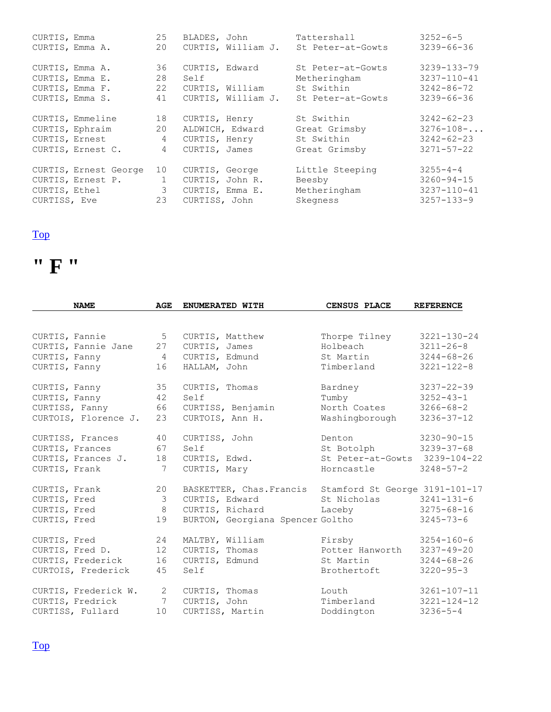| CURTIS, Emma          | 25              |                 | BLADES, John       | Tattershall       | $3252 - 6 - 5$    |
|-----------------------|-----------------|-----------------|--------------------|-------------------|-------------------|
| CURTIS, Emma A.       | 20              |                 | CURTIS, William J. | St Peter-at-Gowts | $3239 - 66 - 36$  |
| CURTIS, Emma A.       | 36              | CURTIS, Edward  |                    | St Peter-at-Gowts | $3239 - 133 - 79$ |
| CURTIS, Emma E.       | 28              | Self            |                    | Metheringham      | $3237 - 110 - 41$ |
| CURTIS, Emma F.       | 22              | CURTIS, William |                    | St Swithin        | $3242 - 86 - 72$  |
| CURTIS, Emma S.       | 41              |                 | CURTIS, William J. | St Peter-at-Gowts | $3239 - 66 - 36$  |
| CURTIS, Emmeline      | 18              | CURTIS, Henry   |                    | St Swithin        | $3242 - 62 - 23$  |
| CURTIS, Ephraim       | 20              | ALDWICH, Edward |                    | Great Grimsby     | $3276 - 108 - $   |
| CURTIS, Ernest        | $\overline{4}$  | CURTIS, Henry   |                    | St Swithin        | $3242 - 62 - 23$  |
| CURTIS, Ernest C.     | $4\overline{ }$ | CURTIS, James   |                    | Great Grimsby     | $3271 - 57 - 22$  |
| CURTIS, Ernest George | 10              | CURTIS, George  |                    | Little Steeping   | $3255 - 4 - 4$    |
| CURTIS, Ernest P. 1   |                 | CURTIS, John R. |                    | Beesby            | $3260 - 94 - 15$  |
| CURTIS, Ethel         | $\mathcal{E}$   | CURTIS, Emma E. |                    | Metheringham      | $3237 - 110 - 41$ |
| CURTISS, Eve          | 23              | CURTISS, John   |                    | Skegness          | $3257 - 133 - 9$  |



| <b>NAME</b>          | AGE             | ENUMERATED WITH                  | CENSUS PLACE                   | <b>REFERENCE</b>  |
|----------------------|-----------------|----------------------------------|--------------------------------|-------------------|
|                      |                 |                                  |                                |                   |
| CURTIS, Fannie       | 5               | CURTIS, Matthew                  | Thorpe Tilney                  | $3221 - 130 - 24$ |
| CURTIS, Fannie Jane  | 27              | CURTIS, James                    | Holbeach                       | $3211 - 26 - 8$   |
| CURTIS, Fanny        | $\overline{4}$  | CURTIS, Edmund                   | St Martin                      | $3244 - 68 - 26$  |
| CURTIS, Fanny        | 16              | HALLAM, John                     | Timberland                     | $3221 - 122 - 8$  |
| CURTIS, Fanny        | 35              | CURTIS, Thomas                   | Bardney                        | $3237 - 22 - 39$  |
| CURTIS, Fanny        | 42              | Self                             | Tumby                          | $3252 - 43 - 1$   |
| CURTISS, Fanny       | 66              | CURTISS, Benjamin                | North Coates                   | $3266 - 68 - 2$   |
| CURTOIS, Florence J. | 23              | CURTOIS, Ann H.                  | Washingborough                 | $3236 - 37 - 12$  |
| CURTISS, Frances     | 40              | CURTISS, John                    | Denton                         | $3230 - 90 - 15$  |
| CURTIS, Frances      | 67              | Self                             | St Botolph                     | $3239 - 37 - 68$  |
| CURTIS, Frances J.   | 18              | CURTIS, Edwd.                    | St Peter-at-Gowts 3239-104-22  |                   |
| CURTIS, Frank        | 7               | CURTIS, Mary                     | Horncastle                     | $3248 - 57 - 2$   |
| CURTIS, Frank        | 20              | BASKETTER, Chas. Francis         | Stamford St George 3191-101-17 |                   |
| CURTIS, Fred         | 3               | CURTIS, Edward                   | St Nicholas                    | $3241 - 131 - 6$  |
| CURTIS, Fred         | 8               | CURTIS, Richard                  | Laceby                         | $3275 - 68 - 16$  |
| CURTIS, Fred         | 19              | BURTON, Georgiana Spencer Goltho |                                | $3245 - 73 - 6$   |
| CURTIS, Fred         | 24              | MALTBY, William                  | Firsby                         | $3254 - 160 - 6$  |
| CURTIS, Fred D.      | 12              | CURTIS, Thomas                   | Potter Hanworth                | $3237 - 49 - 20$  |
| CURTIS, Frederick    | 16              | CURTIS, Edmund                   | St Martin                      | $3244 - 68 - 26$  |
| CURTOIS, Frederick   | 45              | Self                             | Brothertoft                    | $3220 - 95 - 3$   |
| CURTIS, Frederick W. | $\mathbf{2}$    | CURTIS, Thomas                   | Louth                          | $3261 - 107 - 11$ |
| CURTIS, Fredrick     | $7\phantom{.0}$ | CURTIS, John                     | Timberland                     | $3221 - 124 - 12$ |
| CURTISS, Fullard     | 10              | CURTISS, Martin                  | Doddington                     | $3236 - 5 - 4$    |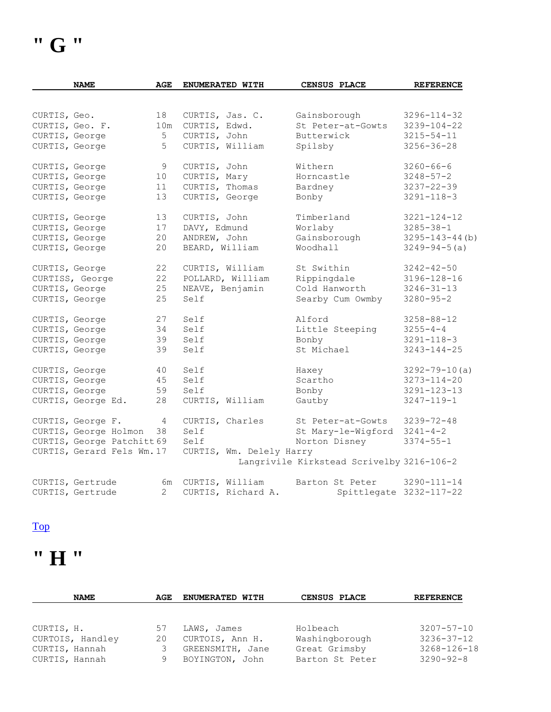|                | <b>NAME</b>                | AGE            | ENUMERATED WITH          | <b>CENSUS PLACE</b>                       | <b>REFERENCE</b>        |
|----------------|----------------------------|----------------|--------------------------|-------------------------------------------|-------------------------|
|                |                            |                |                          |                                           |                         |
| CURTIS, Geo.   |                            | 18             | CURTIS, Jas. C.          | Gainsborough                              | $3296 - 114 - 32$       |
|                | CURTIS, Geo. F.            | 10m            | CURTIS, Edwd.            | St Peter-at-Gowts                         | $3239 - 104 - 22$       |
| CURTIS, George |                            | 5              | CURTIS, John             | Butterwick                                | $3215 - 54 - 11$        |
| CURTIS, George |                            | 5              | CURTIS, William          | Spilsby                                   | $3256 - 36 - 28$        |
| CURTIS, George |                            | 9              | CURTIS, John             | Withern                                   | $3260 - 66 - 6$         |
| CURTIS, George |                            | 10             | CURTIS, Mary             | Horncastle                                | $3248 - 57 - 2$         |
| CURTIS, George |                            | 11             | CURTIS, Thomas           | Bardney                                   | $3237 - 22 - 39$        |
| CURTIS, George |                            | 13             | CURTIS, George           | Bonby                                     | $3291 - 118 - 3$        |
| CURTIS, George |                            | 13             | CURTIS, John             | Timberland                                | $3221 - 124 - 12$       |
| CURTIS, George |                            | 17             | DAVY, Edmund             | Worlaby                                   | $3285 - 38 - 1$         |
| CURTIS, George |                            | 20             | ANDREW, John             | Gainsborough                              | $3295 - 143 - 44$ (b)   |
| CURTIS, George |                            | 20             | BEARD, William           | Woodhall                                  | $3249 - 94 - 5(a)$      |
| CURTIS, George |                            | 22             | CURTIS, William          | St Swithin                                | $3242 - 42 - 50$        |
|                | CURTISS, George            | 22             | POLLARD, William         | Rippingdale                               | $3196 - 128 - 16$       |
| CURTIS, George |                            | 25             | NEAVE, Benjamin          | Cold Hanworth                             | $3246 - 31 - 13$        |
| CURTIS, George |                            | 25             | Self                     | Searby Cum Owmby                          | $3280 - 95 - 2$         |
| CURTIS, George |                            | 27             | Self                     | Alford                                    | $3258 - 88 - 12$        |
| CURTIS, George |                            | 34             | Self                     | Little Steeping                           | $3255 - 4 - 4$          |
| CURTIS, George |                            | 39             | Self                     | Bonby                                     | $3291 - 118 - 3$        |
| CURTIS, George |                            | 39             | Self                     | St. Michael                               | $3243 - 144 - 25$       |
| CURTIS, George |                            | 40             | Self                     | Haxey                                     | $3292 - 79 - 10(a)$     |
| CURTIS, George |                            | 45             | Self                     | Scartho                                   | $3273 - 114 - 20$       |
| CURTIS, George |                            | 59             | Self                     | Bonby                                     | $3291 - 123 - 13$       |
|                | CURTIS, George Ed.         | 28             | CURTIS, William          | Gautby                                    | $3247 - 119 - 1$        |
|                | CURTIS, George F.          | 4              | CURTIS, Charles          | St Peter-at-Gowts                         | $3239 - 72 - 48$        |
|                | CURTIS, George Holmon      | 38             | Self                     | St Mary-le-Wigford                        | $3241 - 4 - 2$          |
|                | CURTIS, George Patchitt 69 |                | Self                     | Norton Disney                             | $3374 - 55 - 1$         |
|                | CURTIS, Gerard Fels Wm. 17 |                | CURTIS, Wm. Delely Harry |                                           |                         |
|                |                            |                |                          | Langrivile Kirkstead Scrivelby 3216-106-2 |                         |
|                | CURTIS, Gertrude           | 6m             | CURTIS, William          | Barton St Peter                           | $3290 - 111 - 14$       |
|                | CURTIS, Gertrude           | $\overline{2}$ | CURTIS, Richard A.       |                                           | Spittlegate 3232-117-22 |

### **" H "**

| <b>NAME</b>      | AGE | <b>ENUMERATED WITH</b> | CENSUS PLACE    | <b>REFERENCE</b> |
|------------------|-----|------------------------|-----------------|------------------|
|                  |     |                        |                 |                  |
| CURTIS, H.       | 57  | LAWS, James            | Holbeach        | $3207 - 57 - 10$ |
| CURTOIS, Handley | 20  | CURTOIS, Ann H.        | Washingborough  | $3236 - 37 - 12$ |
| CURTIS, Hannah   |     | GREENSMITH, Jane       | Great Grimsby   | 3268-126-18      |
| CURTIS, Hannah   | 9   | BOYINGTON, John        | Barton St Peter | $3290 - 92 - 8$  |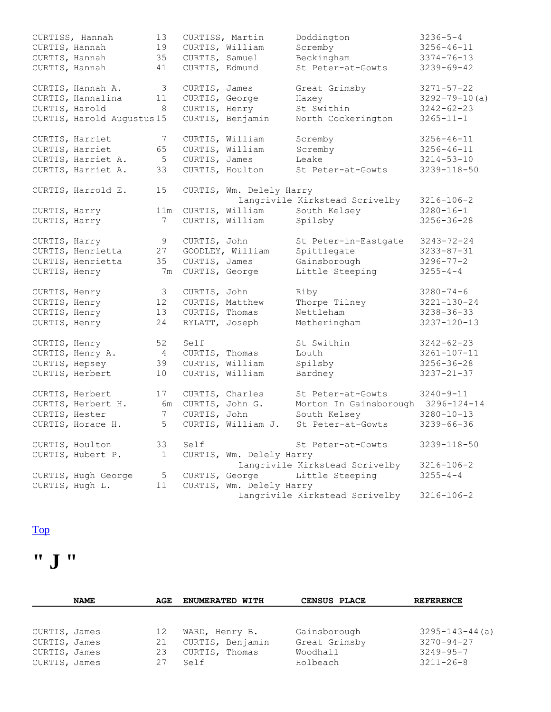|                | CURTISS, Hannah            | 13             | CURTISS, Martin |                          | Doddington                     | $3236 - 5 - 4$      |
|----------------|----------------------------|----------------|-----------------|--------------------------|--------------------------------|---------------------|
| CURTIS, Hannah |                            | 19             |                 | CURTIS, William          | Scremby                        | $3256 - 46 - 11$    |
| CURTIS, Hannah |                            | 35             | CURTIS, Samuel  |                          | Beckingham                     | $3374 - 76 - 13$    |
| CURTIS, Hannah |                            | 41             | CURTIS, Edmund  |                          | St Peter-at-Gowts              | $3239 - 69 - 42$    |
|                |                            |                |                 |                          |                                |                     |
|                | CURTIS, Hannah A.          | 3              | CURTIS, James   |                          | Great Grimsby                  | $3271 - 57 - 22$    |
|                | CURTIS, Hannalina          | 11             | CURTIS, George  |                          | Haxey                          | $3292 - 79 - 10(a)$ |
| CURTIS, Harold |                            | 8              | CURTIS, Henry   |                          | St Swithin                     | $3242 - 62 - 23$    |
|                | CURTIS, Harold Augustus 15 |                |                 | CURTIS, Benjamin         | North Cockerington             | $3265 - 11 - 1$     |
|                |                            |                |                 |                          |                                |                     |
|                | CURTIS, Harriet            | 7              |                 | CURTIS, William          | Scremby                        | $3256 - 46 - 11$    |
|                | CURTIS, Harriet            | 65             |                 | CURTIS, William          | Scremby                        | $3256 - 46 - 11$    |
|                | CURTIS, Harriet A.         | 5              | CURTIS, James   |                          | Leake                          | $3214 - 53 - 10$    |
|                | CURTIS, Harriet A.         | 33             |                 | CURTIS, Houlton          | St Peter-at-Gowts              | 3239-118-50         |
|                |                            |                |                 |                          |                                |                     |
|                | CURTIS, Harrold E.         | 15             |                 | CURTIS, Wm. Delely Harry |                                |                     |
|                |                            |                |                 |                          | Langrivile Kirkstead Scrivelby | $3216 - 106 - 2$    |
| CURTIS, Harry  |                            | 11m            |                 | CURTIS, William          | South Kelsey                   | $3280 - 16 - 1$     |
|                |                            | 7              |                 | CURTIS, William          |                                | $3256 - 36 - 28$    |
| CURTIS, Harry  |                            |                |                 |                          | Spilsby                        |                     |
| CURTIS, Harry  |                            | 9              | CURTIS, John    |                          | St Peter-in-Eastgate           | $3243 - 72 - 24$    |
|                | CURTIS, Henrietta          | 27             |                 | GOODLEY, William         | Spittlegate                    | $3233 - 87 - 31$    |
|                | CURTIS, Henrietta          | 35             | CURTIS, James   |                          | Gainsborough                   | $3296 - 77 - 2$     |
|                |                            |                |                 |                          |                                |                     |
| CURTIS, Henry  |                            | 7 <sub>m</sub> | CURTIS, George  |                          | Little Steeping                | $3255 - 4 - 4$      |
| CURTIS, Henry  |                            | 3              | CURTIS, John    |                          | Riby                           | $3280 - 74 - 6$     |
| CURTIS, Henry  |                            | 12             | CURTIS, Matthew |                          | Thorpe Tilney                  | $3221 - 130 - 24$   |
| CURTIS, Henry  |                            | 13             | CURTIS, Thomas  |                          | Nettleham                      | $3238 - 36 - 33$    |
|                |                            | 24             | RYLATT, Joseph  |                          |                                | $3237 - 120 - 13$   |
| CURTIS, Henry  |                            |                |                 |                          | Metheringham                   |                     |
| CURTIS, Henry  |                            | 52             | Self            |                          | St Swithin                     | $3242 - 62 - 23$    |
|                | CURTIS, Henry A.           | $\overline{4}$ | CURTIS, Thomas  |                          | Louth                          | $3261 - 107 - 11$   |
| CURTIS, Hepsey |                            | 39             |                 | CURTIS, William          | Spilsby                        | $3256 - 36 - 28$    |
|                | CURTIS, Herbert            | 10             |                 | CURTIS, William          | Bardney                        | $3237 - 21 - 37$    |
|                |                            |                |                 |                          |                                |                     |
|                | CURTIS, Herbert            | 17             | CURTIS, Charles |                          | St Peter-at-Gowts              | $3240 - 9 - 11$     |
|                | CURTIS, Herbert H.         | 6m             | CURTIS, John G. |                          | Morton In Gainsborough         | $3296 - 124 - 14$   |
| CURTIS, Hester |                            | 7              | CURTIS, John    |                          | South Kelsey                   | $3280 - 10 - 13$    |
|                | CURTIS, Horace H.          | 5              |                 | CURTIS, William J.       | St Peter-at-Gowts              | $3239 - 66 - 36$    |
|                |                            |                |                 |                          |                                |                     |
|                | CURTIS, Houlton            | 33             | Self            |                          | St Peter-at-Gowts              | 3239-118-50         |
|                | CURTIS, Hubert P.          | 1              |                 | CURTIS, Wm. Delely Harry |                                |                     |
|                |                            |                |                 |                          | Langrivile Kirkstead Scrivelby | $3216 - 106 - 2$    |
|                |                            | 5              | CURTIS, George  |                          |                                | $3255 - 4 - 4$      |
|                | CURTIS, Hugh George        |                |                 |                          | Little Steeping                |                     |
|                |                            |                |                 |                          |                                |                     |
|                | CURTIS, Hugh L.            | 11             |                 | CURTIS, Wm. Delely Harry | Langrivile Kirkstead Scrivelby | $3216 - 106 - 2$    |

**" J "** 

| <b>NAME</b>   | AGE | <b>ENUMERATED WITH</b> | CENSUS PLACE  | <b>REFERENCE</b>     |
|---------------|-----|------------------------|---------------|----------------------|
| CURTIS, James | 12  | WARD, Henry B.         | Gainsborough  | $3295 - 143 - 44(a)$ |
| CURTIS, James | 21  | CURTIS, Benjamin       | Great Grimsby | $3270 - 94 - 27$     |
| CURTIS, James | 23  | CURTIS, Thomas         | Woodhall      | $3249 - 95 - 7$      |
| CURTIS, James | 27  | Self                   | Holbeach      | $3211 - 26 - 8$      |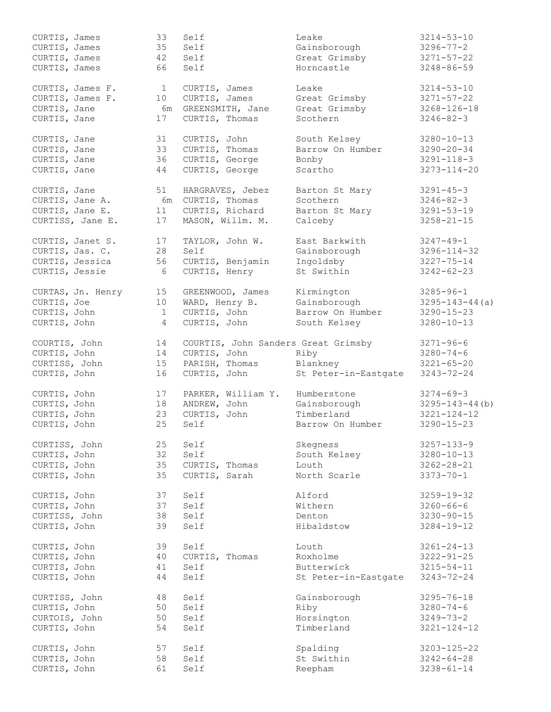| CURTIS, James   |                   | 33             | Self               | Leake                               | $3214 - 53 - 10$      |
|-----------------|-------------------|----------------|--------------------|-------------------------------------|-----------------------|
| CURTIS, James   |                   | 35             | Self               | Gainsborough                        | $3296 - 77 - 2$       |
| CURTIS, James   |                   | 42             | Self               | Great Grimsby                       | $3271 - 57 - 22$      |
| CURTIS, James   |                   | 66             | Self               | Horncastle                          | $3248 - 86 - 59$      |
|                 |                   |                |                    |                                     |                       |
|                 | CURTIS, James F.  | $\mathbf{1}$   | CURTIS, James      | Leake                               | $3214 - 53 - 10$      |
|                 | CURTIS, James F.  | 10             | CURTIS, James      | Great Grimsby                       | $3271 - 57 - 22$      |
|                 |                   |                |                    |                                     |                       |
| CURTIS, Jane    |                   | 6m             | GREENSMITH, Jane   | Great Grimsby                       | $3268 - 126 - 18$     |
| CURTIS, Jane    |                   | 17             | CURTIS, Thomas     | Scothern                            | $3246 - 82 - 3$       |
| CURTIS, Jane    |                   | 31             | CURTIS, John       | South Kelsey                        | $3280 - 10 - 13$      |
|                 |                   |                |                    | Barrow On Humber                    |                       |
| CURTIS, Jane    |                   | 33             | CURTIS, Thomas     |                                     | $3290 - 20 - 34$      |
| CURTIS, Jane    |                   | 36             | CURTIS, George     | Bonby                               | $3291 - 118 - 3$      |
| CURTIS, Jane    |                   | 44             | CURTIS, George     | Scartho                             | $3273 - 114 - 20$     |
| CURTIS, Jane    |                   | 51             | HARGRAVES, Jebez   | Barton St Mary                      | $3291 - 45 - 3$       |
|                 |                   |                |                    |                                     |                       |
| CURTIS, Jane A. |                   | 6m             | CURTIS, Thomas     | Scothern                            | $3246 - 82 - 3$       |
| CURTIS, Jane E. |                   | 11             | CURTIS, Richard    | Barton St Mary                      | $3291 - 53 - 19$      |
|                 | CURTISS, Jane E.  | 17             | MASON, Willm. M.   | Calceby                             | $3258 - 21 - 15$      |
|                 |                   |                |                    |                                     |                       |
|                 | CURTIS, Janet S.  | 17             | TAYLOR, John W.    | East Barkwith                       | $3247 - 49 - 1$       |
| CURTIS, Jas. C. |                   | 28             | Self               | Gainsborough                        | $3296 - 114 - 32$     |
|                 | CURTIS, Jessica   | 56             | CURTIS, Benjamin   | Ingoldsby                           | $3227 - 75 - 14$      |
| CURTIS, Jessie  |                   | 6              | CURTIS, Henry      | St Swithin                          | $3242 - 62 - 23$      |
|                 |                   |                |                    |                                     |                       |
|                 | CURTAS, Jn. Henry | 15             | GREENWOOD, James   | Kirmington                          | $3285 - 96 - 1$       |
| CURTIS, Joe     |                   | 10             | WARD, Henry B.     | Gainsborough                        | $3295 - 143 - 44(a)$  |
| CURTIS, John    |                   | $\mathbf 1$    | CURTIS, John       | Barrow On Humber                    | $3290 - 15 - 23$      |
| CURTIS, John    |                   | $\overline{4}$ | CURTIS, John       | South Kelsey                        | $3280 - 10 - 13$      |
|                 |                   |                |                    |                                     |                       |
| COURTIS, John   |                   | 14             |                    | COURTIS, John Sanders Great Grimsby | $3271 - 96 - 6$       |
| CURTIS, John    |                   | 14             | CURTIS, John       | Riby                                | $3280 - 74 - 6$       |
| CURTISS, John   |                   | 15             | PARISH, Thomas     | Blankney                            | $3221 - 65 - 20$      |
|                 |                   |                |                    |                                     |                       |
| CURTIS, John    |                   | 16             | CURTIS, John       | St Peter-in-Eastgate                | $3243 - 72 - 24$      |
| CURTIS, John    |                   | 17             | PARKER, William Y. | Humberstone                         | $3274 - 69 - 3$       |
| CURTIS, John    |                   | 18             | ANDREW, John       | Gainsborough                        | $3295 - 143 - 44$ (b) |
| CURTIS, John    |                   | 23             | CURTIS, John       | Timberland                          | $3221 - 124 - 12$     |
|                 |                   |                |                    |                                     |                       |
| CURTIS, John    |                   | 25             | Self               | Barrow On Humber                    | $3290 - 15 - 23$      |
| CURTISS, John   |                   | 25             | Self               | Skegness                            | $3257 - 133 - 9$      |
| CURTIS, John    |                   | 32             | Self               | South Kelsey                        | $3280 - 10 - 13$      |
|                 |                   |                |                    |                                     |                       |
| CURTIS, John    |                   | 35             | CURTIS, Thomas     | Louth                               | $3262 - 28 - 21$      |
| CURTIS, John    |                   | 35             | CURTIS, Sarah      | North Scarle                        | $3373 - 70 - 1$       |
| CURTIS, John    |                   | 37             | Self               | Alford                              | $3259 - 19 - 32$      |
| CURTIS, John    |                   | 37             |                    | Withern                             | $3260 - 66 - 6$       |
|                 |                   |                | Self               |                                     |                       |
| CURTISS, John   |                   | 38             | Self               | Denton                              | $3230 - 90 - 15$      |
| CURTIS, John    |                   | 39             | Self               | Hibaldstow                          | $3284 - 19 - 12$      |
| CURTIS, John    |                   | 39             | Self               | Louth                               | $3261 - 24 - 13$      |
|                 |                   |                |                    |                                     |                       |
| CURTIS, John    |                   | 40             | CURTIS, Thomas     | Roxholme                            | $3222 - 91 - 25$      |
| CURTIS, John    |                   | 41             | Self               | Butterwick                          | $3215 - 54 - 11$      |
| CURTIS, John    |                   | 44             | Self               | St Peter-in-Eastgate                | $3243 - 72 - 24$      |
| CURTISS, John   |                   | 48             | Self               | Gainsborough                        | $3295 - 76 - 18$      |
|                 |                   |                |                    |                                     |                       |
| CURTIS, John    |                   | 50             | Self               | Riby                                | $3280 - 74 - 6$       |
| CURTOIS, John   |                   | 50             | Self               | Horsington                          | $3249 - 73 - 2$       |
| CURTIS, John    |                   | 54             | Self               | Timberland                          | $3221 - 124 - 12$     |
|                 |                   |                |                    |                                     |                       |
| CURTIS, John    |                   | 57             | Self               | Spalding                            | $3203 - 125 - 22$     |
| CURTIS, John    |                   | 58             | Self               | St Swithin                          | $3242 - 64 - 28$      |
| CURTIS, John    |                   | 61             | Self               | Reepham                             | $3238 - 61 - 14$      |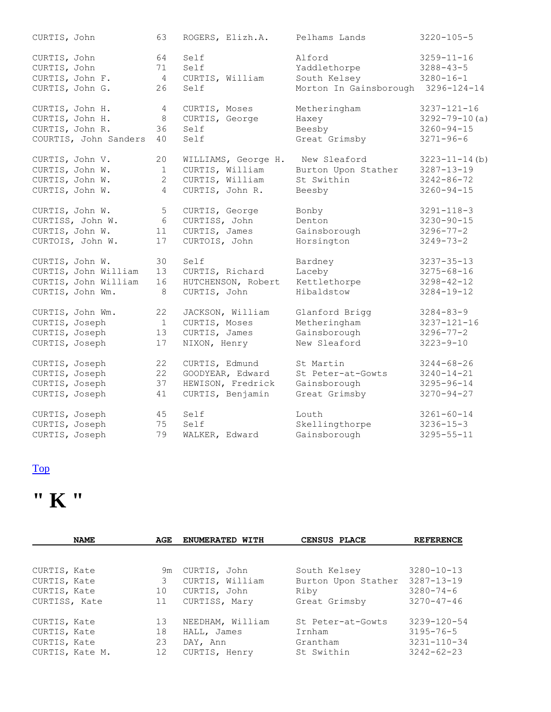| CURTIS, John          | 63             | ROGERS, Elizh.A.    | Pelhams Lands          | $3220 - 105 - 5$     |
|-----------------------|----------------|---------------------|------------------------|----------------------|
| CURTIS, John          | 64             | Self                | Alford                 | $3259 - 11 - 16$     |
| CURTIS, John          | 71             | Self                | Yaddlethorpe           | $3288 - 43 - 5$      |
| CURTIS, John F.       | $\overline{4}$ | CURTIS, William     | South Kelsey           | $3280 - 16 - 1$      |
| CURTIS, John G.       | 26             | Self                | Morton In Gainsborough | $3296 - 124 - 14$    |
| CURTIS, John H.       | $\overline{4}$ | CURTIS, Moses       | Metheringham           | $3237 - 121 - 16$    |
| CURTIS, John H.       | $\,8\,$        | CURTIS, George      | Haxey                  | $3292 - 79 - 10(a)$  |
| CURTIS, John R.       | 36             | Self                | Beesby                 | $3260 - 94 - 15$     |
| COURTIS, John Sanders | 40             | Self                | Great Grimsby          | $3271 - 96 - 6$      |
| CURTIS, John V.       | 20             | WILLIAMS, George H. | New Sleaford           | $3223 - 11 - 14$ (b) |
| CURTIS, John W.       | 1              | CURTIS, William     | Burton Upon Stather    | $3287 - 13 - 19$     |
| CURTIS, John W.       | 2              | CURTIS, William     | St Swithin             | $3242 - 86 - 72$     |
| CURTIS, John W.       | $\overline{4}$ | CURTIS, John R.     | Beesby                 | $3260 - 94 - 15$     |
| CURTIS, John W.       | 5              | CURTIS, George      | Bonby                  | $3291 - 118 - 3$     |
| CURTISS, John W.      | 6              | CURTISS, John       | Denton                 | $3230 - 90 - 15$     |
| CURTIS, John W.       | 11             | CURTIS, James       | Gainsborough           | $3296 - 77 - 2$      |
| CURTOIS, John W.      | 17             | CURTOIS, John       | Horsington             | $3249 - 73 - 2$      |
| CURTIS, John W.       | 30             | Self                | Bardney                | $3237 - 35 - 13$     |
| CURTIS, John William  | 13             | CURTIS, Richard     | Laceby                 | $3275 - 68 - 16$     |
| CURTIS, John William  | 16             | HUTCHENSON, Robert  | Kettlethorpe           | $3298 - 42 - 12$     |
| CURTIS, John Wm.      | 8              | CURTIS, John        | Hibaldstow             | $3284 - 19 - 12$     |
| CURTIS, John Wm.      | 22             | JACKSON, William    | Glanford Brigg         | $3284 - 83 - 9$      |
| CURTIS, Joseph        | $\mathbf{1}$   | CURTIS, Moses       | Metheringham           | $3237 - 121 - 16$    |
| CURTIS, Joseph        | 13             | CURTIS, James       | Gainsborough           | $3296 - 77 - 2$      |
| CURTIS, Joseph        | 17             | NIXON, Henry        | New Sleaford           | $3223 - 9 - 10$      |
| CURTIS, Joseph        | 22             | CURTIS, Edmund      | St Martin              | $3244 - 68 - 26$     |
| CURTIS, Joseph        | 22             | GOODYEAR, Edward    | St Peter-at-Gowts      | $3240 - 14 - 21$     |
| CURTIS, Joseph        | 37             | HEWISON, Fredrick   | Gainsborough           | $3295 - 96 - 14$     |
| CURTIS, Joseph        | 41             | CURTIS, Benjamin    | Great Grimsby          | $3270 - 94 - 27$     |
| CURTIS, Joseph        | 45             | Self                | Louth                  | $3261 - 60 - 14$     |
| CURTIS, Joseph        | 75             | Self                | Skellingthorpe         | $3236 - 15 - 3$      |
| CURTIS, Joseph        | 79             | WALKER, Edward      | Gainsborough           | $3295 - 55 - 11$     |

## **" K "**

| AGE<br><b>NAME</b> |    | <b>ENUMERATED WITH</b> | CENSUS PLACE        | <b>REFERENCE</b>  |  |
|--------------------|----|------------------------|---------------------|-------------------|--|
|                    |    |                        |                     |                   |  |
| CURTIS, Kate       | 9m | CURTIS, John           | South Kelsey        | $3280 - 10 - 13$  |  |
| CURTIS, Kate       | 3  | CURTIS, William        | Burton Upon Stather | $3287 - 13 - 19$  |  |
| CURTIS, Kate       | 10 | CURTIS, John           | Riby                | $3280 - 74 - 6$   |  |
| CURTISS, Kate      | 11 | CURTISS, Mary          | Great Grimsby       | $3270 - 47 - 46$  |  |
| CURTIS, Kate       | 13 | NEEDHAM, William       | St Peter-at-Gowts   | $3239 - 120 - 54$ |  |
| CURTIS, Kate       | 18 | HALL, James            | Irnham              | 3195-76-5         |  |
| CURTIS, Kate       | 23 | DAY, Ann               | Grantham            | $3231 - 110 - 34$ |  |
| CURTIS, Kate M.    | 12 | CURTIS, Henry          | St Swithin          | $3242 - 62 - 23$  |  |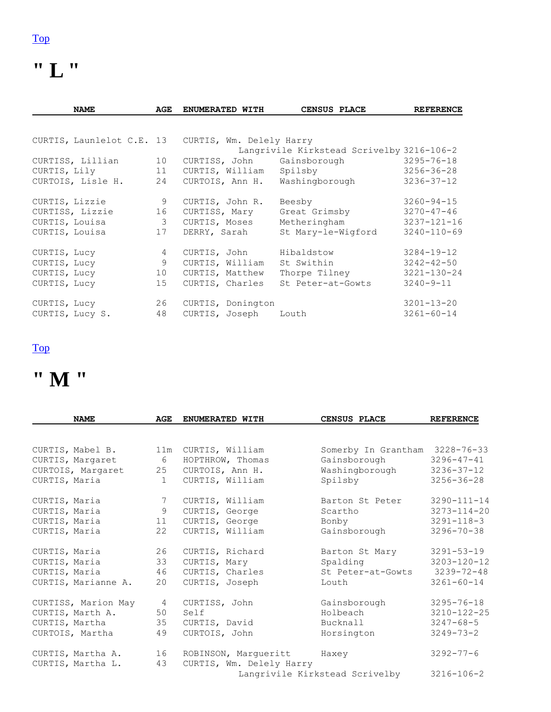### **" L "**

| <b>NAME</b>               | AGE             | ENUMERATED WITH          | CENSUS PLACE                              | <b>REFERENCE</b>  |
|---------------------------|-----------------|--------------------------|-------------------------------------------|-------------------|
|                           |                 |                          |                                           |                   |
| CURTIS, Launlelot C.E. 13 |                 | CURTIS, Wm. Delely Harry |                                           |                   |
|                           |                 |                          | Langrivile Kirkstead Scrivelby 3216-106-2 |                   |
| CURTISS, Lillian          | 10              | CURTISS, John            | Gainsborough                              | $3295 - 76 - 18$  |
| CURTIS, Lily 11           |                 | CURTIS, William          | Spilsby                                   | $3256 - 36 - 28$  |
| CURTOIS, Lisle H.         | 24              |                          | CURTOIS, Ann H. Washingborough            | $3236 - 37 - 12$  |
| CURTIS, Lizzie            | 9               | CURTIS, John R.          | Beesby                                    | $3260 - 94 - 15$  |
| CURTISS, Lizzie           | 16              | CURTISS, Mary            | Great Grimsby                             | $3270 - 47 - 46$  |
| CURTIS, Louisa            | $\mathcal{S}$   | CURTIS, Moses            | Metheringham                              | $3237 - 121 - 16$ |
| CURTIS, Louisa            | 17              | DERRY, Sarah             | St Mary-le-Wigford                        | $3240 - 110 - 69$ |
| CURTIS, Lucy              | $4\overline{ }$ | CURTIS, John             | Hibaldstow                                | $3284 - 19 - 12$  |
| CURTIS, Lucy              | 9               | CURTIS, William          | St Swithin                                | $3242 - 42 - 50$  |
| CURTIS, Lucy              | 10              | CURTIS, Matthew          | Thorpe Tilney                             | $3221 - 130 - 24$ |
| CURTIS, Lucy              | 15              | CURTIS, Charles          | St Peter-at-Gowts                         | $3240 - 9 - 11$   |
| CURTIS, Lucy              | 26              | CURTIS, Donington        |                                           | $3201 - 13 - 20$  |
| CURTIS, Lucy S.           | 48              | CURTIS, Joseph Louth     |                                           | $3261 - 60 - 14$  |

#### [Top](http://www.curtis-curtiss.com/pub/archives/extractions/england/lincoln/1881_census/lin_curtis_idx.html#top)

### **" M "**

| <b>NAME</b>         | AGE          | <b>ENUMERATED WITH</b>     | CENSUS PLACE                   | <b>REFERENCE</b>  |
|---------------------|--------------|----------------------------|--------------------------------|-------------------|
|                     |              |                            |                                |                   |
| CURTIS, Mabel B.    | 11m          | CURTIS, William            | Somerby In Grantham 3228-76-33 |                   |
| CURTIS, Margaret    | 6            | HOPTHROW, Thomas           | Gainsborough                   | $3296 - 47 - 41$  |
| CURTOIS, Margaret   | 25           | CURTOIS, Ann H.            | Washingborough                 | $3236 - 37 - 12$  |
| CURTIS, Maria       | $\mathbf{1}$ | CURTIS, William            | Spilsby                        | $3256 - 36 - 28$  |
| CURTIS, Maria       | 7            | CURTIS, William            | Barton St Peter                | $3290 - 111 - 14$ |
| CURTIS, Maria       | 9            | CURTIS, George             | Scartho                        | $3273 - 114 - 20$ |
| CURTIS, Maria       | 11           | CURTIS, George             | Bonby                          | $3291 - 118 - 3$  |
| CURTIS, Maria       | 22           | CURTIS, William            | Gainsborough                   | $3296 - 70 - 38$  |
| CURTIS, Maria       | 26           | CURTIS, Richard            | Barton St Mary                 | $3291 - 53 - 19$  |
| CURTIS, Maria       | 33           | CURTIS, Mary               | Spalding                       | $3203 - 120 - 12$ |
| CURTIS, Maria       | 46           | CURTIS, Charles            | St Peter-at-Gowts              | $3239 - 72 - 48$  |
| CURTIS, Marianne A. | 20           | CURTIS, Joseph             | Louth                          | $3261 - 60 - 14$  |
| CURTISS, Marion May | 4            | CURTISS, John              | Gainsborough                   | $3295 - 76 - 18$  |
| CURTIS, Marth A.    | 50           | Self                       | Holbeach                       | $3210 - 122 - 25$ |
| CURTIS, Martha      | 35           | CURTIS, David              | Bucknall                       | $3247 - 68 - 5$   |
| CURTOIS, Martha     | 49           | CURTOIS, John              | Horsington                     | $3249 - 73 - 2$   |
| CURTIS, Martha A.   | 16           | ROBINSON, Margueritt Haxey |                                | $3292 - 77 - 6$   |
| CURTIS, Martha L.   | 43           | CURTIS, Wm. Delely Harry   |                                |                   |
|                     |              |                            | Langrivile Kirkstead Scrivelby | $3216 - 106 - 2$  |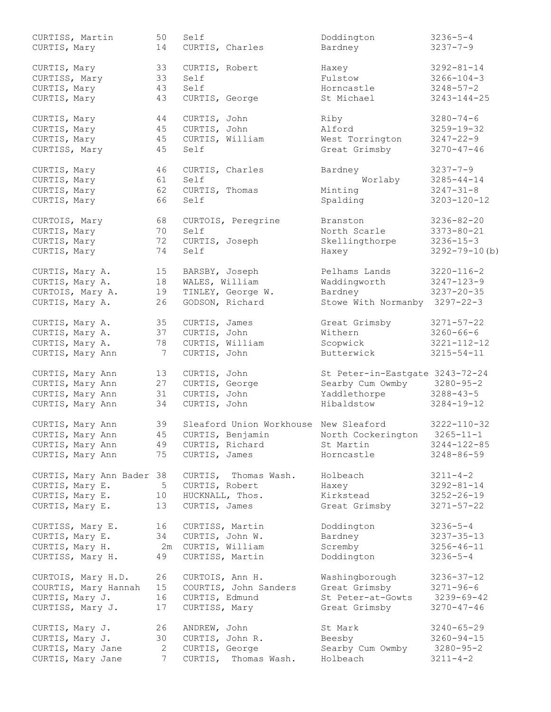| CURTISS, Martin<br>CURTIS, Mary | 50<br>14        | Self           | CURTIS, Charles                       | Doddington<br>Bardney                            | $3236 - 5 - 4$<br>$3237 - 7 - 9$ |
|---------------------------------|-----------------|----------------|---------------------------------------|--------------------------------------------------|----------------------------------|
| CURTIS, Mary                    | 33              | CURTIS, Robert |                                       | Haxey                                            | $3292 - 81 - 14$                 |
| CURTISS, Mary                   | 33              | Self           |                                       | Fulstow                                          | $3266 - 104 - 3$                 |
| CURTIS, Mary                    | 43              | Self           |                                       | Horncastle                                       | $3248 - 57 - 2$                  |
| CURTIS, Mary                    | 43              | CURTIS, George |                                       | St Michael                                       | $3243 - 144 - 25$                |
|                                 |                 |                |                                       |                                                  |                                  |
| CURTIS, Mary                    | 44              | CURTIS, John   |                                       | Riby                                             | $3280 - 74 - 6$                  |
| CURTIS, Mary                    | 45              | CURTIS, John   |                                       | Alford                                           | $3259 - 19 - 32$                 |
| CURTIS, Mary                    | 45              |                | CURTIS, William                       | West Torrington                                  | $3247 - 22 - 9$                  |
| CURTISS, Mary                   | 45              | Self           |                                       | Great Grimsby                                    | $3270 - 47 - 46$                 |
| CURTIS, Mary                    | 46              |                | CURTIS, Charles                       | Bardney                                          | $3237 - 7 - 9$                   |
| CURTIS, Mary                    | 61              | Self           |                                       | Worlaby                                          | $3285 - 44 - 14$                 |
| CURTIS, Mary                    | 62              | CURTIS, Thomas |                                       | Minting                                          | $3247 - 31 - 8$                  |
| CURTIS, Mary                    | 66              | Self           |                                       | Spalding                                         | $3203 - 120 - 12$                |
|                                 |                 |                |                                       |                                                  |                                  |
| CURTOIS, Mary                   | 68              |                | CURTOIS, Peregrine                    | Branston                                         | $3236 - 82 - 20$                 |
| CURTIS, Mary                    | 70              | Self           |                                       | North Scarle                                     | $3373 - 80 - 21$                 |
| CURTIS, Mary                    | 72              |                | CURTIS, Joseph                        | Skellingthorpe                                   | $3236 - 15 - 3$                  |
| CURTIS, Mary                    | 74              | Self           |                                       | Haxey                                            | $3292 - 79 - 10$ (b)             |
| CURTIS, Mary A.                 | 15              | BARSBY, Joseph |                                       | Pelhams Lands                                    | $3220 - 116 - 2$                 |
| CURTIS, Mary A.                 | 18              | WALES, William |                                       | Waddingworth                                     | $3247 - 123 - 9$                 |
| CURTOIS, Mary A.                | 19              |                | TINLEY, George W.                     | Bardney                                          | $3237 - 20 - 35$                 |
| CURTIS, Mary A.                 | 26              |                | GODSON, Richard                       | Stowe With Normanby 3297-22-3                    |                                  |
| CURTIS, Mary A.                 | 35              | CURTIS, James  |                                       | Great Grimsby                                    | $3271 - 57 - 22$                 |
| CURTIS, Mary A.                 | 37              | CURTIS, John   |                                       | Withern                                          | $3260 - 66 - 6$                  |
| CURTIS, Mary A.                 | 78              |                | CURTIS, William                       | Scopwick                                         | $3221 - 112 - 12$                |
| CURTIS, Mary Ann                | 7               | CURTIS, John   |                                       | Butterwick                                       | $3215 - 54 - 11$                 |
|                                 |                 |                |                                       |                                                  |                                  |
| CURTIS, Mary Ann                | 13              | CURTIS, John   |                                       | St Peter-in-Eastgate 3243-72-24                  |                                  |
| CURTIS, Mary Ann                | 27              | CURTIS, George |                                       | Searby Cum Owmby                                 | $3280 - 95 - 2$                  |
| CURTIS, Mary Ann                | 31              | CURTIS, John   |                                       | Yaddlethorpe                                     | $3288 - 43 - 5$                  |
| CURTIS, Mary Ann                | 34              | CURTIS, John   |                                       | Hibaldstow                                       | $3284 - 19 - 12$                 |
| CURTIS, Mary Ann                | 39              |                | Sleaford Union Workhouse New Sleaford |                                                  | $3222 - 110 - 32$                |
| CURTIS, Mary Ann                |                 |                |                                       | 45 CURTIS, Benjamin North Cockerington 3265-11-1 |                                  |
| CURTIS, Mary Ann                | 49              |                | CURTIS, Richard                       | St Martin                                        | $3244 - 122 - 85$                |
| CURTIS, Mary Ann                | 75              | CURTIS, James  |                                       | Horncastle                                       | $3248 - 86 - 59$                 |
| CURTIS, Mary Ann Bader 38       |                 |                | CURTIS, Thomas Wash.                  | Holbeach                                         | $3211 - 4 - 2$                   |
| CURTIS, Mary E.                 | 5               | CURTIS, Robert |                                       | Haxey                                            | $3292 - 81 - 14$                 |
| CURTIS, Mary E.                 | 10              |                | HUCKNALL, Thos.                       | Kirkstead                                        | $3252 - 26 - 19$                 |
| CURTIS, Mary E.                 | 13              |                | CURTIS, James                         | Great Grimsby                                    | $3271 - 57 - 22$                 |
|                                 |                 |                |                                       |                                                  |                                  |
| CURTISS, Mary E.                | 16              |                | CURTISS, Martin                       | Doddington                                       | $3236 - 5 - 4$                   |
| CURTIS, Mary E.                 | 34              |                | CURTIS, John W.                       | Bardney                                          | $3237 - 35 - 13$                 |
| CURTIS, Mary H.                 | 2m              |                | CURTIS, William                       | Scremby                                          | $3256 - 46 - 11$                 |
| CURTISS, Mary H.                | 49              |                | CURTISS, Martin                       | Doddington                                       | $3236 - 5 - 4$                   |
| CURTOIS, Mary H.D.              | 26              |                | CURTOIS, Ann H.                       | Washingborough                                   | $3236 - 37 - 12$                 |
| COURTIS, Mary Hannah            | 15              |                | COURTIS, John Sanders                 | Great Grimsby                                    | $3271 - 96 - 6$                  |
| CURTIS, Mary J.                 | 16              |                | CURTIS, Edmund                        | St Peter-at-Gowts                                | 3239-69-42                       |
| CURTISS, Mary J.                | 17              | CURTISS, Mary  |                                       | Great Grimsby                                    | $3270 - 47 - 46$                 |
| CURTIS, Mary J.                 | 26              | ANDREW, John   |                                       | St Mark                                          | $3240 - 65 - 29$                 |
| CURTIS, Mary J.                 | 30              |                | CURTIS, John R.                       | Beesby                                           | $3260 - 94 - 15$                 |
| CURTIS, Mary Jane               | 2               |                | CURTIS, George                        | Searby Cum Owmby                                 | $3280 - 95 - 2$                  |
| CURTIS, Mary Jane               | $7\phantom{.0}$ |                | CURTIS, Thomas Wash.                  | Holbeach                                         | $3211 - 4 - 2$                   |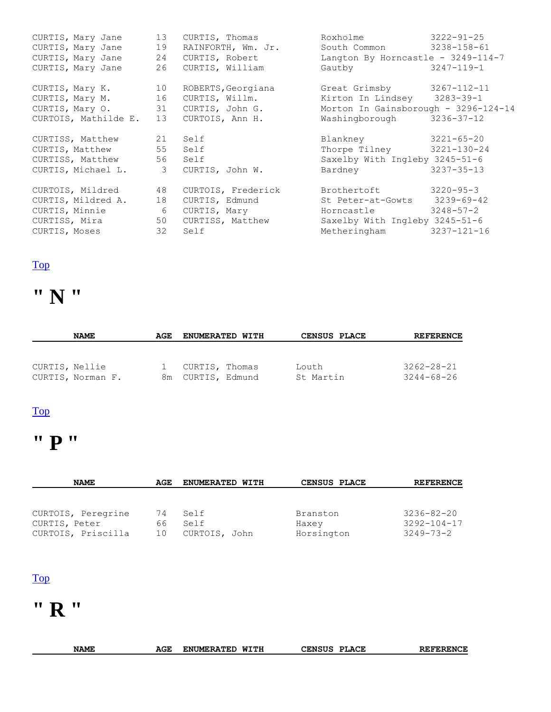| CURTIS, Mary Jane<br>CURTIS, Mary Jane<br>CURTIS, Mary Jane | 13<br>19<br>24 | CURTIS, Thomas<br>RAINFORTH, Wm. Jr.<br>CURTIS, Robert | Roxholme<br>South Common 3238-158-61<br>Langton By Horncastle - 3249-114-7 | $3222 - 91 - 25$  |
|-------------------------------------------------------------|----------------|--------------------------------------------------------|----------------------------------------------------------------------------|-------------------|
| CURTIS, Mary Jane 26                                        |                | CURTIS, William                                        | Gautby 3247-119-1                                                          |                   |
|                                                             |                | CURTIS, Mary K. 10 ROBERTS, Georgiana                  | Great Grimsby 3267-112-11                                                  |                   |
| CURTIS, Mary M. 16                                          |                | CURTIS, Willm.                                         | Kirton In Lindsey 3283-39-1                                                |                   |
|                                                             |                | CURTIS, Mary 0. 31 CURTIS, John G.                     | Morton In Gainsborough - 3296-124-14                                       |                   |
| CURTOIS, Mathilde E. 13                                     |                | CURTOIS, Ann H.                                        | Washingborough                                                             | 3236-37-12        |
| CURTISS, Matthew 21 Self                                    |                |                                                        | Blankney 3221-65-20                                                        |                   |
| CURTIS, Matthew 55 Self                                     |                |                                                        | Thorpe Tilney 3221-130-24                                                  |                   |
| CURTISS, Matthew 56 Self                                    |                |                                                        | Saxelby With Ingleby 3245-51-6                                             |                   |
|                                                             |                | CURTIS, Michael L. 3 CURTIS, John W.                   | Bardney                                                                    | $3237 - 35 - 13$  |
|                                                             |                | CURTOIS, Mildred 48 CURTOIS, Frederick                 | Brothertoft                                                                | $3220 - 95 - 3$   |
| CURTIS, Mildred A. 18                                       |                | CURTIS, Edmund                                         | St Peter-at-Gowts 3239-69-42                                               |                   |
| CURTIS, Minnie                                              | $\sim$ 6       | CURTIS, Mary                                           | Horncastle 3248-57-2                                                       |                   |
|                                                             |                | CURTISS, Mira 50 CURTISS, Matthew                      | Saxelby With Ingleby 3245-51-6                                             |                   |
| CURTIS, Moses                                               | 32             | Self                                                   | Metheringham                                                               | $3237 - 121 - 16$ |

## **" N "**

| <b>NAME</b>       | AGE | <b>ENUMERATED WITH</b> | <b>CENSUS PLACE</b> | <b>REFERENCE</b> |
|-------------------|-----|------------------------|---------------------|------------------|
|                   |     |                        |                     |                  |
|                   |     |                        |                     |                  |
| CURTIS, Nellie    |     | CURTIS, Thomas         | Louth               | $3262 - 28 - 21$ |
| CURTIS, Norman F. |     | 8m CURTIS, Edmund      | St Martin           | $3244 - 68 - 26$ |

#### [Top](http://www.curtis-curtiss.com/pub/archives/extractions/england/lincoln/1881_census/lin_curtis_idx.html#top)

## **" P "**

| <b>NAME</b>        | AGE | <b>ENUMERATED WITH</b> | CENSUS PLACE | <b>REFERENCE</b>  |
|--------------------|-----|------------------------|--------------|-------------------|
|                    |     |                        |              |                   |
|                    |     |                        |              |                   |
| CURTOIS, Peregrine | 74  | Self                   | Branston     | $3236 - 82 - 20$  |
| CURTIS, Peter      | 66. | Self                   | Haxey        | $3292 - 104 - 17$ |
| CURTOIS, Priscilla | 1 O | CURTOIS, John          | Horsington   | $3249 - 73 - 2$   |

#### [Top](http://www.curtis-curtiss.com/pub/archives/extractions/england/lincoln/1881_census/lin_curtis_idx.html#top)

### **" R "**

| <b>NAME</b> | AGE<br>_____ | UMERATED<br>ENI. | WTTH<br>. | LACE<br>᠁<br>MTTC<br>Ωт<br>JENSUS | REL<br>GGD<br>. NI |
|-------------|--------------|------------------|-----------|-----------------------------------|--------------------|
|             |              |                  |           |                                   |                    |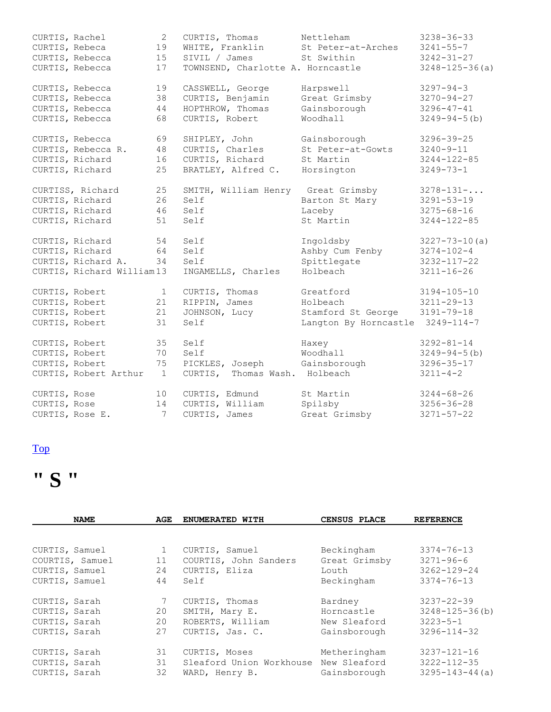| CURTIS, Rachel |                                    | $\mathbf{2}$    | CURTIS, Thomas                    | Nettleham             | $3238 - 36 - 33$     |
|----------------|------------------------------------|-----------------|-----------------------------------|-----------------------|----------------------|
| CURTIS, Rebeca |                                    | 19              | WHITE, Franklin                   | St Peter-at-Arches    | $3241 - 55 - 7$      |
|                | CURTIS, Rebecca                    | 15              | SIVIL / James                     | St Swithin            | $3242 - 31 - 27$     |
|                | CURTIS, Rebecca                    | 17              | TOWNSEND, Charlotte A. Horncastle |                       | $3248 - 125 - 36(a)$ |
|                |                                    |                 |                                   |                       |                      |
|                | CURTIS, Rebecca                    | 19              | CASSWELL, George                  | Harpswell             | $3297 - 94 - 3$      |
|                | CURTIS, Rebecca                    | 38              | CURTIS, Benjamin                  | Great Grimsby         | $3270 - 94 - 27$     |
|                | CURTIS, Rebecca                    | 44              | HOPTHROW, Thomas                  | Gainsborough          | $3296 - 47 - 41$     |
|                | CURTIS, Rebecca                    | 68              | CURTIS, Robert                    | Woodhall              | $3249 - 94 - 5$ (b)  |
|                | CURTIS, Rebecca                    | 69              | SHIPLEY, John                     | Gainsborough          | $3296 - 39 - 25$     |
|                | CURTIS, Rebecca R.                 | 48              | CURTIS, Charles                   | St Peter-at-Gowts     | $3240 - 9 - 11$      |
|                | CURTIS, Richard                    | 16              | CURTIS, Richard                   | St Martin             | $3244 - 122 - 85$    |
|                | CURTIS, Richard                    | 25              | BRATLEY, Alfred C.                | Horsington            | $3249 - 73 - 1$      |
|                |                                    |                 |                                   |                       |                      |
|                | CURTISS, Richard                   | 25              | SMITH, William Henry              | Great Grimsby         | $3278 - 131 - $      |
|                | CURTIS, Richard                    | 26              | Self                              | Barton St Mary        | $3291 - 53 - 19$     |
|                | CURTIS, Richard                    | 46              | Self                              | Laceby                | $3275 - 68 - 16$     |
|                | CURTIS, Richard                    | 51              | Self                              | St Martin             | $3244 - 122 - 85$    |
|                |                                    |                 | Self                              |                       |                      |
|                | CURTIS, Richard<br>CURTIS, Richard | 54              |                                   | Ingoldsby             | $3227 - 73 - 10(a)$  |
|                |                                    | 64<br>34        | Self                              | Ashby Cum Fenby       | $3274 - 102 - 4$     |
|                | CURTIS, Richard A.                 |                 | Self                              | Spittlegate           | $3232 - 117 - 22$    |
|                | CURTIS, Richard William13          |                 | INGAMELLS, Charles                | Holbeach              | $3211 - 16 - 26$     |
| CURTIS, Robert |                                    | $\mathbf 1$     | CURTIS, Thomas                    | Greatford             | $3194 - 105 - 10$    |
| CURTIS, Robert |                                    | 21              | RIPPIN, James                     | Holbeach              | $3211 - 29 - 13$     |
| CURTIS, Robert |                                    | 21              | JOHNSON, Lucy                     | Stamford St George    | $3191 - 79 - 18$     |
| CURTIS, Robert |                                    | 31              | Self                              | Langton By Horncastle | $3249 - 114 - 7$     |
| CURTIS, Robert |                                    | 35              | Self                              | Haxey                 | $3292 - 81 - 14$     |
| CURTIS, Robert |                                    | 70              | Self                              | Woodhall              | $3249 - 94 - 5$ (b)  |
| CURTIS, Robert |                                    | 75              | PICKLES, Joseph                   | Gainsborough          | $3296 - 35 - 17$     |
|                | CURTIS, Robert Arthur              | $\mathbf{1}$    | CURTIS,<br>Thomas Wash.           | Holbeach              | $3211 - 4 - 2$       |
|                |                                    |                 |                                   |                       |                      |
| CURTIS, Rose   |                                    | 10              | CURTIS, Edmund                    | St Martin             | $3244 - 68 - 26$     |
| CURTIS, Rose   |                                    | 14              | CURTIS, William                   | Spilsby               | $3256 - 36 - 28$     |
|                | CURTIS, Rose E.                    | $7\overline{ }$ | CURTIS, James                     | Great Grimsby         | $3271 - 57 - 22$     |

## **" S "**

| <b>NAME</b>     | AGE | ENUMERATED WITH                       | CENSUS PLACE  | <b>REFERENCE</b>      |
|-----------------|-----|---------------------------------------|---------------|-----------------------|
|                 |     |                                       |               |                       |
| CURTIS, Samuel  |     | CURTIS, Samuel                        | Beckingham    | $3374 - 76 - 13$      |
| COURTIS, Samuel | 11  | COURTIS, John Sanders                 | Great Grimsby | $3271 - 96 - 6$       |
| CURTIS, Samuel  | 24  | CURTIS, Eliza                         | Louth         | $3262 - 129 - 24$     |
| CURTIS, Samuel  | 44  | Self                                  | Beckingham    | $3374 - 76 - 13$      |
| CURTIS, Sarah   |     | CURTIS, Thomas                        | Bardney       | $3237 - 22 - 39$      |
| CURTIS, Sarah   | 20  | SMITH, Mary E.                        | Horncastle    | $3248 - 125 - 36$ (b) |
| CURTIS, Sarah   | 20  | ROBERTS, William                      | New Sleaford  | $3223 - 5 - 1$        |
| CURTIS, Sarah   | 27  | CURTIS, Jas. C.                       | Gainsborough  | $3296 - 114 - 32$     |
| CURTIS, Sarah   | 31  | CURTIS, Moses                         | Metheringham  | $3237 - 121 - 16$     |
| CURTIS, Sarah   | 31  | Sleaford Union Workhouse New Sleaford |               | $3222 - 112 - 35$     |
| CURTIS, Sarah   | 32  | WARD, Henry B.                        | Gainsborough  | $3295 - 143 - 44(a)$  |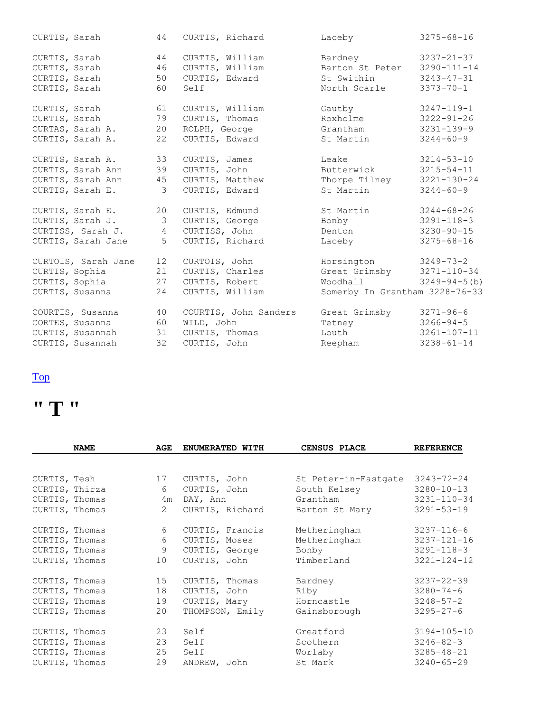| CURTIS, Sarah       | 44             | CURTIS, Richard       | Laceby                         | $3275 - 68 - 16$    |
|---------------------|----------------|-----------------------|--------------------------------|---------------------|
| CURTIS, Sarah       | 44             | CURTIS, William       | Bardney                        | $3237 - 21 - 37$    |
| CURTIS, Sarah       | 46             | CURTIS, William       | Barton St Peter                | $3290 - 111 - 14$   |
| CURTIS, Sarah       | 50             | CURTIS, Edward        | St Swithin                     | $3243 - 47 - 31$    |
| CURTIS, Sarah       | 60             | Self                  | North Scarle                   | $3373 - 70 - 1$     |
| CURTIS, Sarah       | 61             | CURTIS, William       | Gautby                         | $3247 - 119 - 1$    |
| CURTIS, Sarah       | 79             | CURTIS, Thomas        | Roxholme                       | $3222 - 91 - 26$    |
| CURTAS, Sarah A.    | 20             | ROLPH, George         | Grantham                       | $3231 - 139 - 9$    |
| CURTIS, Sarah A.    | 22             | CURTIS, Edward        | St Martin                      | $3244 - 60 - 9$     |
| CURTIS, Sarah A.    | 33             | CURTIS, James         | Leake                          | $3214 - 53 - 10$    |
| CURTIS, Sarah Ann   | 39             | CURTIS, John          | Butterwick                     | $3215 - 54 - 11$    |
| CURTIS, Sarah Ann   | 45             | CURTIS, Matthew       | Thorpe Tilney                  | $3221 - 130 - 24$   |
| CURTIS, Sarah E.    | 3              | CURTIS, Edward        | St Martin                      | $3244 - 60 - 9$     |
| CURTIS, Sarah E.    | 20             | CURTIS, Edmund        | St Martin                      | $3244 - 68 - 26$    |
| CURTIS, Sarah J.    | $\mathcal{S}$  | CURTIS, George        | Bonby                          | $3291 - 118 - 3$    |
| CURTISS, Sarah J.   | $\overline{4}$ | CURTISS, John         | Denton                         | $3230 - 90 - 15$    |
| CURTIS, Sarah Jane  | 5              | CURTIS, Richard       | Laceby                         | $3275 - 68 - 16$    |
| CURTOIS, Sarah Jane | 12             | CURTOIS, John         | Horsington                     | $3249 - 73 - 2$     |
| CURTIS, Sophia      | 21             | CURTIS, Charles       | Great Grimsby                  | $3271 - 110 - 34$   |
| CURTIS, Sophia      | 27             | CURTIS, Robert        | Woodhall                       | $3249 - 94 - 5$ (b) |
| CURTIS, Susanna     | 24             | CURTIS, William       | Somerby In Grantham 3228-76-33 |                     |
| COURTIS, Susanna    | 40             | COURTIS, John Sanders | Great Grimsby                  | $3271 - 96 - 6$     |
| CORTES, Susanna     | 60             | WILD, John            | Tetney                         | $3266 - 94 - 5$     |
| CURTIS, Susannah    | 31             | CURTIS, Thomas        | Louth                          | $3261 - 107 - 11$   |
| CURTIS, Susannah    | 32             | CURTIS, John          | Reepham                        | $3238 - 61 - 14$    |

## **" T "**

|                | <b>NAME</b>    | AGE          | ENUMERATED WITH | CENSUS PLACE         | <b>REFERENCE</b>  |
|----------------|----------------|--------------|-----------------|----------------------|-------------------|
|                |                |              |                 |                      |                   |
| CURTIS, Tesh   |                | 17           | CURTIS, John    | St Peter-in-Eastgate | $3243 - 72 - 24$  |
|                | CURTIS, Thirza | 6            | CURTIS, John    | South Kelsey         | $3280 - 10 - 13$  |
| CURTIS, Thomas |                | 4m           | DAY, Ann        | Grantham             | $3231 - 110 - 34$ |
| CURTIS, Thomas |                | $\mathbf{2}$ | CURTIS, Richard | Barton St Mary       | $3291 - 53 - 19$  |
| CURTIS, Thomas |                | 6            | CURTIS, Francis | Metheringham         | $3237 - 116 - 6$  |
| CURTIS, Thomas |                | 6            | CURTIS, Moses   | Metheringham         | $3237 - 121 - 16$ |
| CURTIS, Thomas |                | 9            | CURTIS, George  | Bonby                | $3291 - 118 - 3$  |
| CURTIS, Thomas |                | 10           | CURTIS, John    | Timberland           | $3221 - 124 - 12$ |
| CURTIS, Thomas |                | 15           | CURTIS, Thomas  | Bardney              | $3237 - 22 - 39$  |
| CURTIS, Thomas |                | 18           | CURTIS, John    | Riby                 | $3280 - 74 - 6$   |
| CURTIS, Thomas |                | 19           | CURTIS, Mary    | Horncastle           | $3248 - 57 - 2$   |
| CURTIS, Thomas |                | 20           | THOMPSON, Emily | Gainsborough         | $3295 - 27 - 6$   |
| CURTIS, Thomas |                | 23           | Self            | Greatford            | $3194 - 105 - 10$ |
| CURTIS, Thomas |                | 23           | Self            | Scothern             | $3246 - 82 - 3$   |
| CURTIS, Thomas |                | 25           | Self            | Worlaby              | $3285 - 48 - 21$  |
| CURTIS, Thomas |                | 29           | ANDREW, John    | St Mark              | $3240 - 65 - 29$  |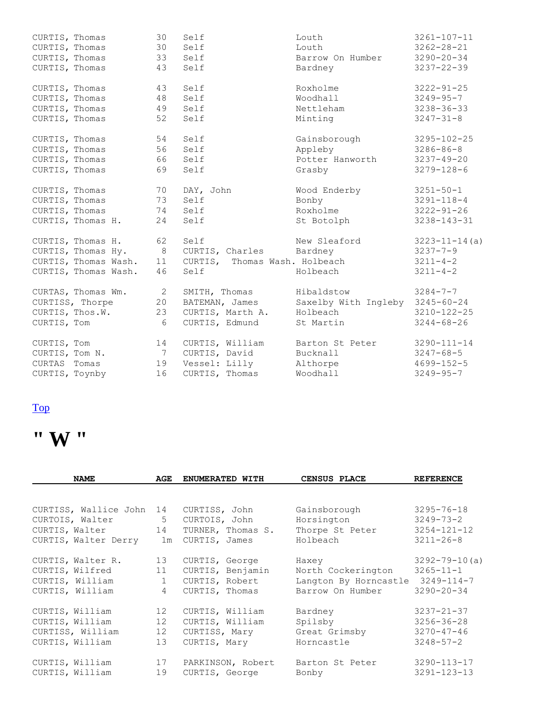| CURTIS, Thomas |                      | 30 | Self                          | Louth                           | $3261 - 107 - 11$   |
|----------------|----------------------|----|-------------------------------|---------------------------------|---------------------|
| CURTIS, Thomas |                      | 30 | Self                          | Louth                           | $3262 - 28 - 21$    |
| CURTIS, Thomas |                      | 33 | Self                          | Barrow On Humber                | $3290 - 20 - 34$    |
| CURTIS, Thomas |                      | 43 | Self                          | Bardney                         | $3237 - 22 - 39$    |
| CURTIS, Thomas |                      | 43 | Self                          | Roxholme                        | $3222 - 91 - 25$    |
| CURTIS, Thomas |                      | 48 | Self                          | Woodhall                        | $3249 - 95 - 7$     |
|                | CURTIS, Thomas       | 49 | Self                          | Nettleham                       | $3238 - 36 - 33$    |
|                | CURTIS, Thomas       | 52 | Self                          | Minting                         | $3247 - 31 - 8$     |
| CURTIS, Thomas |                      | 54 | Self                          | Gainsborough                    | $3295 - 102 - 25$   |
| CURTIS, Thomas |                      | 56 | Self                          | Appleby                         | $3286 - 86 - 8$     |
|                | CURTIS, Thomas       | 66 | Self                          | Potter Hanworth                 | $3237 - 49 - 20$    |
| CURTIS, Thomas |                      | 69 | Self                          | Grasby                          | $3279 - 128 - 6$    |
| CURTIS, Thomas |                      | 70 | DAY, John                     | Wood Enderby                    | $3251 - 50 - 1$     |
|                | CURTIS, Thomas       | 73 | Self                          | Bonby                           | $3291 - 118 - 4$    |
| CURTIS, Thomas |                      | 74 | Self                          | Roxholme                        | $3222 - 91 - 26$    |
|                | CURTIS, Thomas H.    | 24 | Self                          | St Botolph                      | $3238 - 143 - 31$   |
|                | CURTIS, Thomas H. 62 |    | Self                          | New Sleaford                    | $3223 - 11 - 14(a)$ |
|                | CURTIS, Thomas Hy. 8 |    | CURTIS, Charles Bardney       |                                 | $3237 - 7 - 9$      |
|                | CURTIS, Thomas Wash. | 11 | CURTIS, Thomas Wash. Holbeach |                                 | $3211 - 4 - 2$      |
|                | CURTIS, Thomas Wash. | 46 | Self                          | Holbeach                        | $3211 - 4 - 2$      |
|                | CURTAS, Thomas Wm.   | 2  | SMITH, Thomas                 | Hibaldstow                      | $3284 - 7 - 7$      |
|                | CURTISS, Thorpe      | 20 | BATEMAN, James                | Saxelby With Ingleby 3245-60-24 |                     |
|                | CURTIS, Thos.W.      | 23 | CURTIS, Marth A.              | Holbeach                        | 3210-122-25         |
| CURTIS, Tom    |                      | 6  | CURTIS, Edmund                | St Martin                       | $3244 - 68 - 26$    |
| CURTIS, Tom    |                      | 14 | CURTIS, William               | Barton St Peter                 | $3290 - 111 - 14$   |
|                | CURTIS, Tom N.       | 7  | CURTIS, David                 | Bucknall                        | $3247 - 68 - 5$     |
| CURTAS Tomas   |                      | 19 | Vessel: Lilly                 | Althorpe                        | $4699 - 152 - 5$    |
| CURTIS, Toynby |                      | 16 | CURTIS, Thomas                | Woodhall                        | $3249 - 95 - 7$     |

## **" W "**

| <b>NAME</b>              | AGE            | ENUMERATED WITH   | CENSUS PLACE                     | <b>REFERENCE</b>    |
|--------------------------|----------------|-------------------|----------------------------------|---------------------|
|                          |                |                   |                                  |                     |
| CURTISS, Wallice John 14 |                | CURTISS, John     | Gainsborough                     | $3295 - 76 - 18$    |
| CURTOIS, Walter          | 5 <sup>5</sup> | CURTOIS, John     | Horsington                       | $3249 - 73 - 2$     |
| CURTIS, Walter 14        |                | TURNER, Thomas S. | Thorpe St Peter                  | $3254 - 121 - 12$   |
| CURTIS, Walter Derry     | 1m             | CURTIS, James     | Holbeach                         | $3211 - 26 - 8$     |
| CURTIS, Walter R.        | 13             | CURTIS, George    | Haxey                            | $3292 - 79 - 10(a)$ |
| CURTIS, Wilfred          | 11             | CURTIS, Benjamin  | North Cockerington               | $3265 - 11 - 1$     |
| CURTIS, William          | $\mathbf{1}$   | CURTIS, Robert    | Langton By Horncastle 3249-114-7 |                     |
| CURTIS, William          | $\overline{4}$ | CURTIS, Thomas    | Barrow On Humber                 | $3290 - 20 - 34$    |
| CURTIS, William          | 12             | CURTIS, William   | Bardney                          | $3237 - 21 - 37$    |
| CURTIS, William          | 12             | CURTIS, William   | Spilsby                          | $3256 - 36 - 28$    |
| CURTISS, William         | 12             | CURTISS, Mary     | Great Grimsby                    | $3270 - 47 - 46$    |
| CURTIS, William          | 13             | CURTIS, Mary      | Horncastle                       | $3248 - 57 - 2$     |
| CURTIS, William          | 17             | PARKINSON, Robert | Barton St Peter                  | $3290 - 113 - 17$   |
| CURTIS, William          | 19             | CURTIS, George    | Bonby                            | $3291 - 123 - 13$   |